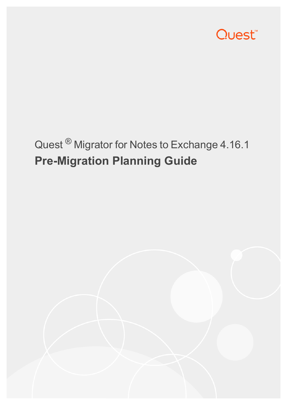

# Quest<sup>®</sup> Migrator for Notes to Exchange 4.16.1 **Pre-Migration Planning Guide**

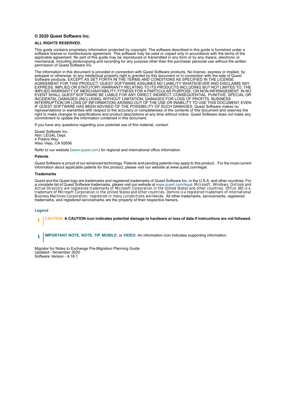#### **© 2020 Quest Software Inc.**

#### **ALL RIGHTS RESERVED.**

This guide contains proprietary information protected by copyright. The software described in this guide is furnished under a software license or nondisclosure agreement. This software may be used or copied only in accordance with the terms of the applicable agreement. No part of this guide may be reproduced or transmitted in any form or by any means, electronic or mechanical, including photocopying and recording for any purpose other than the purchaser personal use without the written permission of Quest Software Inc.

The information in this document is provided in connection with Quest Software products. No license, express or implied, by estoppel or otherwise, to any intellectual property right is granted by this document or in connection with the sale of Quest<br>Software products. EXCEPT AS SET FORTH IN THE TERMS AND CONDITIONS AS SPECIFIED IN THE LICENSE<br>A EXPRESS, IMPLIED OR STATUTORY WARRANTY RELATING TO ITS PRODUCTS INCLUDING, BUT NOT LIMITED TO, THE IMPLIED WARRANTY OF MERCHANTABILITY, FITNESS FOR A PARTICULAR PURPOSE, OR NON-INFRINGEMENT. IN NO EVENT SHALL QUEST SOFTWARE BE LIABLE FOR ANY DIRECT, INDIRECT, CONSEQUENTIAL, PUNITIVE, SPECIAL OR INCIDENTAL DAMAGES (INCLUDING, WITHOUT LIMITATION, DAMAGES FOR LOSS OF PROFITS, BUSINESS<br>INTERRUPTION OR LOSS OF INFORMATION) ARISING OUT OF THE USE OR INABILITY TO USE THIS DOCUMENT, EVEN IF QUEST SOFTWARE HAS BEEN ADVISED OF THE POSSIBILITY OF SUCH DAMAGES. Quest Software makes no representations or warranties with respect to the accuracy or completeness of the contents of this document and reserves the right to make changes to specifications and product descriptions at any time without notice. Quest Software does not make any commitment to update the information contained in this document.

If you have any questions regarding your potential use of this material, contact:

Quest Software Inc. Attn: LEGAL Dept. 4 Polaris Way Aliso Viejo, CA 92656

Refer to our website [\(www.quest.com](http://www.quest.com)) for regional and international office information.

#### **Patents**

Quest Software is proud of our advanced technology. Patents and pending patents may apply to this product. For the most current information about applicable patents for this product, please visit our website at www.quest.com/legal.

#### **Trademarks**

Quest and the Quest logo are trademarks and registered trademarks of Quest Software Inc. in the U.S.A. and other countries. For a complete list of Quest Software trademarks, please visit our website at [www.quest.com/legal](http://www.quest.com/legal). *Microsoft, Windows, Outlook* and<br>*Active Directory* are registered trademarks of Microsoft Corporation in the United States an trademark of Microsoft Corporation in the United States and other countries. *Domino* is a registered trademark of International Business Machines Corporation, registered in many jurisdictions worldwide. All other trademarks, servicemarks, registered trademarks, and registered servicemarks are the property of their respective owners.

#### **Legend**

**CAUTION: A CAUTION icon indicates potential damage to hardware or loss of data if instructions are not followed.**

**IMPORTANT NOTE**, **NOTE**, **TIP**, **MOBILE**, or **VIDEO:** An information icon indicates supporting information.÷

Migrator for Notes to Exchange Pre-Migration Planning Guide Updated - November 2020 Software Version - 4.16.1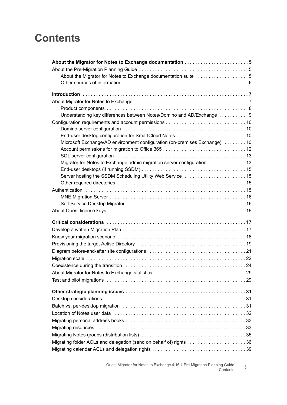## **Contents**

| About the Migrator for Notes to Exchange documentation suite 5<br>About Migrator for Notes to Exchange (and accommodation of the About Migrator for Notes to Exchange (and accommo<br>Understanding key differences between Notes/Domino and AD/Exchange  9<br>Microsoft Exchange/AD environment configuration (on-premises Exchange)  10<br>Migrator for Notes to Exchange admin migration server configuration  13<br>Server hosting the SSDM Scheduling Utility Web Service  15 |  |
|------------------------------------------------------------------------------------------------------------------------------------------------------------------------------------------------------------------------------------------------------------------------------------------------------------------------------------------------------------------------------------------------------------------------------------------------------------------------------------|--|
|                                                                                                                                                                                                                                                                                                                                                                                                                                                                                    |  |
|                                                                                                                                                                                                                                                                                                                                                                                                                                                                                    |  |
|                                                                                                                                                                                                                                                                                                                                                                                                                                                                                    |  |
|                                                                                                                                                                                                                                                                                                                                                                                                                                                                                    |  |
|                                                                                                                                                                                                                                                                                                                                                                                                                                                                                    |  |
|                                                                                                                                                                                                                                                                                                                                                                                                                                                                                    |  |
|                                                                                                                                                                                                                                                                                                                                                                                                                                                                                    |  |
|                                                                                                                                                                                                                                                                                                                                                                                                                                                                                    |  |
|                                                                                                                                                                                                                                                                                                                                                                                                                                                                                    |  |
|                                                                                                                                                                                                                                                                                                                                                                                                                                                                                    |  |
|                                                                                                                                                                                                                                                                                                                                                                                                                                                                                    |  |
|                                                                                                                                                                                                                                                                                                                                                                                                                                                                                    |  |
|                                                                                                                                                                                                                                                                                                                                                                                                                                                                                    |  |
|                                                                                                                                                                                                                                                                                                                                                                                                                                                                                    |  |
|                                                                                                                                                                                                                                                                                                                                                                                                                                                                                    |  |
|                                                                                                                                                                                                                                                                                                                                                                                                                                                                                    |  |
|                                                                                                                                                                                                                                                                                                                                                                                                                                                                                    |  |
|                                                                                                                                                                                                                                                                                                                                                                                                                                                                                    |  |
|                                                                                                                                                                                                                                                                                                                                                                                                                                                                                    |  |
|                                                                                                                                                                                                                                                                                                                                                                                                                                                                                    |  |
|                                                                                                                                                                                                                                                                                                                                                                                                                                                                                    |  |
|                                                                                                                                                                                                                                                                                                                                                                                                                                                                                    |  |
|                                                                                                                                                                                                                                                                                                                                                                                                                                                                                    |  |
|                                                                                                                                                                                                                                                                                                                                                                                                                                                                                    |  |
|                                                                                                                                                                                                                                                                                                                                                                                                                                                                                    |  |
|                                                                                                                                                                                                                                                                                                                                                                                                                                                                                    |  |
|                                                                                                                                                                                                                                                                                                                                                                                                                                                                                    |  |
|                                                                                                                                                                                                                                                                                                                                                                                                                                                                                    |  |
|                                                                                                                                                                                                                                                                                                                                                                                                                                                                                    |  |
|                                                                                                                                                                                                                                                                                                                                                                                                                                                                                    |  |
|                                                                                                                                                                                                                                                                                                                                                                                                                                                                                    |  |
|                                                                                                                                                                                                                                                                                                                                                                                                                                                                                    |  |
|                                                                                                                                                                                                                                                                                                                                                                                                                                                                                    |  |
|                                                                                                                                                                                                                                                                                                                                                                                                                                                                                    |  |
|                                                                                                                                                                                                                                                                                                                                                                                                                                                                                    |  |
|                                                                                                                                                                                                                                                                                                                                                                                                                                                                                    |  |
|                                                                                                                                                                                                                                                                                                                                                                                                                                                                                    |  |
|                                                                                                                                                                                                                                                                                                                                                                                                                                                                                    |  |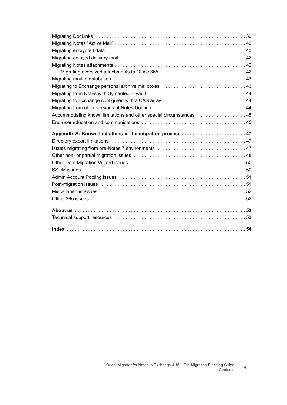| Migrating to Exchange configured with a CAS array  44               |
|---------------------------------------------------------------------|
|                                                                     |
| Accommodating known limitations and other special circumstances  45 |
|                                                                     |
|                                                                     |
| Appendix A: Known limitations of the migration process  47          |
|                                                                     |
|                                                                     |
|                                                                     |
|                                                                     |
|                                                                     |
|                                                                     |
|                                                                     |
|                                                                     |
|                                                                     |
|                                                                     |
|                                                                     |
|                                                                     |
|                                                                     |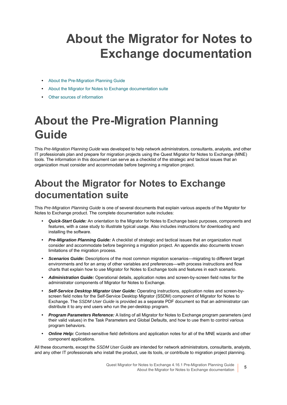# <span id="page-4-0"></span>**About the Migrator for Notes to Exchange documentation**

- **•** [About the Pre-Migration Planning Guide](#page-4-1)
- **•** [About the Migrator for Notes to Exchange documentation suite](#page-4-2)
- **•** [Other sources of information](#page-5-0)

# <span id="page-4-1"></span>**About the Pre-Migration Planning Guide**

This *Pre-Migration Planning Guide* was developed to help network administrators, consultants, analysts, and other IT professionals plan and prepare for migration projects using the Quest Migrator for Notes to Exchange (MNE) tools. The information in this document can serve as a checklist of the strategic and tactical issues that an organization must consider and accommodate before beginning a migration project.

## <span id="page-4-2"></span>**About the Migrator for Notes to Exchange documentation suite**

This *Pre-Migration Planning Guide* is one of several documents that explain various aspects of the Migrator for Notes to Exchange product. The complete documentation suite includes:

- **•** *Quick-Start Guide:* An orientation to the Migrator for Notes to Exchange basic purposes, components and features, with a case study to illustrate typical usage. Also includes instructions for downloading and installing the software.
- **•** *Pre-Migration Planning Guide:* A checklist of strategic and tactical issues that an organization must consider and accommodate before beginning a migration project. An appendix also documents known limitations of the migration process.
- **•** *Scenarios Guide:* Descriptions of the most common migration scenarios—migrating to different target environments and for an array of other variables and preferences—with process instructions and flow charts that explain how to use Migrator for Notes to Exchange tools and features in each scenario.
- **•** *Administration Guide:* Operational details, application notes and screen-by-screen field notes for the administrator components of Migrator for Notes to Exchange.
- **•** *Self-Service Desktop Migrator User Guide:* Operating instructions, application notes and screen-byscreen field notes for the Self-Service Desktop Migrator (SSDM) component of Migrator for Notes to Exchange. The *SSDM User Guide* is provided as a separate PDF document so that an administrator can distribute it to any end users who run the per-desktop program.
- **•** *Program Parameters Reference:* A listing of all Migrator for Notes to Exchange program parameters (and their valid values) in the Task Parameters and Global Defaults, and how to use them to control various program behaviors.
- **•** *Online Help:* Context-sensitive field definitions and application notes for all of the MNE wizards and other component applications.

All these documents, except the *SSDM User Guide* are intended for network administrators, consultants, analysts, and any other IT professionals who install the product, use its tools, or contribute to migration project planning.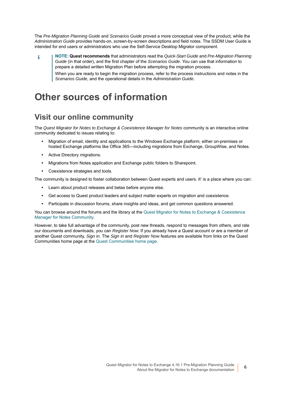The *Pre-Migration Planning Guide* and *Scenarios Guide* proved a more conceptual view of the product, while the *Administration Guide* provides hands-on, screen-by-screen descriptions and field notes. The SSDM User Guide is intended for end users or administrators who use the Self-Service Desktop Migrator component.

**NOTE: Quest recommends** that administrators read the *Quick-Start Guide* and *Pre-Migration Planning*  f *Guide* (in that order), and the first chapter of the *Scenarios Guide*. You can use that information to prepare a detailed written Migration Plan before attempting the migration process. When you are ready to begin the migration process, refer to the process instructions and notes in the *Scenarios Guide*, and the operational details in the *Administration Guide*.

### <span id="page-5-0"></span>**Other sources of information**

### **Visit our online community**

The *Quest Migrator for Notes to Exchange & Coexistence Manager for Notes* community is an interactive online community dedicated to issues relating to:

- **•** Migration of email, identity and applications to the Windows Exchange platform, either on-premises or hosted Exchange platforms like Office 365—including migrations from Exchange, GroupWise, and Notes.
- **•** Active Directory migrations.
- **•** Migrations from Notes application and Exchange public folders to Sharepoint.
- **•** Coexistence strategies and tools.

The community is designed to foster collaboration between Quest experts and users. It' is a place where you can:

- **•** Learn about product releases and betas before anyone else.
- **•** Get access to Quest product leaders and subject matter experts on migration and coexistence.
- **•** Participate in discussion forums, share insights and ideas, and get common questions answered.

You can browse around the forums and the library at the [Quest Migrator for Notes to Exchange & Coexistence](https://www.quest.com/community/quest/notes-to-exchange-migration)  [Manager for Notes Community.](https://www.quest.com/community/quest/notes-to-exchange-migration)

However, to take full advantage of the community, post new threads, respond to messages from others, and rate our documents and downloads, you can *Register Now*. If you already have a Quest account or are a member of another Quest community, *Sign in*. The *Sign in* and *Register Now* features are available from links on the Quest Communities home page at the [Quest Communities home page](https://www.quest.com/community/quest/).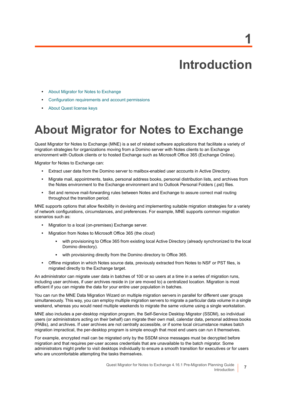**Introduction**

- <span id="page-6-0"></span>**•** [About Migrator for Notes to Exchange](#page-6-1)
- **•** [Configuration requirements and account permissions](#page-9-0)
- **•** [About Quest license keys](#page-15-2)

# <span id="page-6-1"></span>**About Migrator for Notes to Exchange**

Quest Migrator for Notes to Exchange (MNE) is a set of related software applications that facilitate a variety of migration strategies for organizations moving from a Domino server with Notes clients to an Exchange environment with Outlook clients or to hosted Exchange such as Microsoft Office 365 (Exchange Online).

Migrator for Notes to Exchange can:

- **•** Extract user data from the Domino server to mailbox-enabled user accounts in Active Directory.
- **•** Migrate mail, appointments, tasks, personal address books, personal distribution lists, and archives from the Notes environment to the Exchange environment and to Outlook Personal Folders (.pst) files.
- **•** Set and remove mail-forwarding rules between Notes and Exchange to assure correct mail routing throughout the transition period.

MNE supports options that allow flexibility in devising and implementing suitable migration strategies for a variety of network configurations, circumstances, and preferences. For example, MNE supports common migration scenarios such as:

- **•** Migration to a local (on-premises) Exchange server.
- <span id="page-6-6"></span>**•** Migration from Notes to Microsoft Office 365 (the *cloud*)
	- with provisioning to Office 365 from existing local Active Directory (already synchronized to the local Domino directory).
	- with provisioning directly from the Domino directory to Office 365.
- <span id="page-6-8"></span><span id="page-6-7"></span><span id="page-6-2"></span>**•** Offline migration in which Notes source data, previously extracted from Notes to NSF or PST files, is migrated directly to the Exchange target.

An administrator can migrate user data in batches of 100 or so users at a time in a series of migration runs, including user archives, if user archives reside in (or are moved to) a centralized location. Migration is most efficient if you can migrate the data for your entire user population in batches.

You can run the MNE Data Migration Wizard on multiple migration servers in parallel for different user groups simultaneously. This way, you can employ multiple migration servers to migrate a particular data volume in a single weekend, whereas you would need multiple weekends to migrate the same volume using a single workstation.

<span id="page-6-4"></span><span id="page-6-3"></span>MNE also includes a per-desktop migration program, the Self-Service Desktop Migrator (SSDM), so individual users (or administrators acting on their behalf) can migrate their own mail, calendar data, personal address books (PABs), and archives. If user archives are not centrally accessible, or if some local circumstance makes batch migration impractical, the per-desktop program is simple enough that most end users can run it themselves.

<span id="page-6-5"></span>For example, encrypted mail can be migrated only by the SSDM since messages must be decrypted before migration and that requires per-user access credentials that are unavailable to the batch migrator. Some administrators might prefer to visit desktops individually to ensure a smooth transition for executives or for users who are uncomfortable attempting the tasks themselves.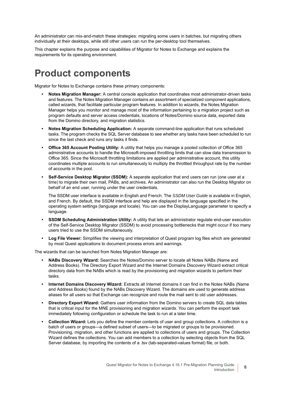An administrator can mix-and-match these strategies: migrating some users in batches, but migrating others individually at their desktops, while still other users can run the per-desktop tool themselves.

This chapter explains the purpose and capabilities of Migrator for Notes to Exchange and explains the requirements for its operating environment.

### <span id="page-7-0"></span>**Product components**

<span id="page-7-3"></span>Migrator for Notes to Exchange contains these primary components:

- <span id="page-7-11"></span><span id="page-7-9"></span>**• Notes Migration Manager:** A central console application that coordinates most administrator-driven tasks and features. The Notes Migration Manager contains an assortment of specialized component applications, called wizards, that facilitate particular program features. In addition to wizards, the Notes Migration Manager helps you monitor and manage most of the information pertaining to a migration project such as program defaults and server access credentials, locations of Notes/Domino source data, exported data from the Domino directory, and migration statistics.
- **Notes Migration Scheduling Application:** A separate command-line application that runs scheduled tasks. The program checks the SQL Server database to see whether any tasks have been scheduled to run since the last check and runs any tasks it finds.
- **Office 365 Account Pooling Utility:** A utility that helps you manage a pooled collection of Office 365 administrative accounts to handle the Microsoft-imposed throttling limits that can slow data transmission to Office 365. Since the Microsoft throttling limitations are applied per administrative account, this utility coordinates multiple accounts to run simultaneously to multiply the throttled throughput rate by the number of accounts in the pool.
- **Self-Service Desktop Migrator (SSDM):** A separate application that end users can run (one user at a time) to migrate their own mail, PABs, and archives. An administrator can also run the Desktop Migrator on behalf of an end user, running under the user credentials.

The SSDM user interface is available in English and French. The *SSDM User Guide* is available in English, and French. By default, the SSDM interface and help are displayed in the language specified in the operating system settings (language and locale). You can use the DisplayLanguage parameter to specify a language.

- <span id="page-7-10"></span>**• SSDM Scheduling Administration Utility:** A utility that lets an administrator regulate end-user execution of the Self-Service Desktop Migrator (SSDM) to avoid processing bottlenecks that might occur if too many users tried to use the SSDM simultaneously.
- <span id="page-7-6"></span>**• Log File Viewer:** Simplifies the viewing and interpretation of Quest program log files which are generated by most Quest applications to document process errors and warnings.

The wizards that can be launched from Notes Migration Manager are:

- <span id="page-7-8"></span><span id="page-7-7"></span>**• NABs Discovery Wizard:** Searches the Notes/Domino server to locate all Notes NABs (Name and Address Books). The Directory Export Wizard and the Internet Domains Discovery Wizard extract critical directory data from the NABs which is read by the provisioning and migration wizards to perform their tasks.
- <span id="page-7-5"></span>**• Internet Domains Discovery Wizard:** Extracts all Internet domains it can find in the Notes NABs (Name and Address Books) found by the NABs Discovery Wizard. The domains are used to generate address aliases for all users so that Exchange can recognize and route the mail sent to old user addresses.
- <span id="page-7-4"></span>**• Directory Export Wizard:** Gathers user information from the Domino servers to create SQL data tables that is critical input for the MNE provisioning and migration wizards. You can perform the export task immediately following configuration or schedule the task to run at a later time.
- <span id="page-7-2"></span><span id="page-7-1"></span>**• Collection Wizard:** Lets you define the member contents of user and group collections. A *collection* is a batch of users or groups—a defined subset of users—to be migrated or groups to be provisioned. Provisioning, migration, and other functions are applied to collections of users and groups. The Collection Wizard defines the collections. You can add members to a collection by selecting objects from the SQL Server database, by importing the contents of a .tsv (tab-separated-values format) file, or both.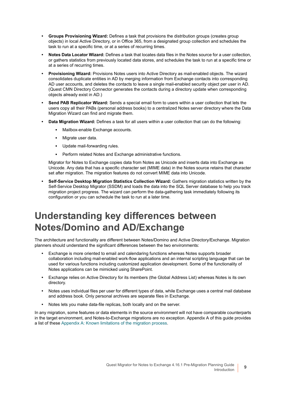- <span id="page-8-1"></span>**• Groups Provisioning Wizard:** Defines a task that provisions the distribution groups (creates group objects) in local Active Directory, or in Office 365, from a designated group collection and schedules the task to run at a specific time, or at a series of recurring times.
- <span id="page-8-3"></span>**• Notes Data Locator Wizard:** Defines a task that locates data files in the Notes source for a user collection, or gathers statistics from previously located data stores, and schedules the task to run at a specific time or at a series of recurring times.
- <span id="page-8-12"></span><span id="page-8-8"></span><span id="page-8-6"></span>**• Provisioning Wizard:** Provisions Notes users into Active Directory as mail-enabled objects. The wizard consolidates duplicate entities in AD by merging information from Exchange contacts into corresponding AD user accounts, and deletes the contacts to leave a single mail-enabled security object per user in AD. (Quest CMN Directory Connector generates the contacts during a directory update when corresponding objects already exist in AD.)
- <span id="page-8-11"></span><span id="page-8-10"></span><span id="page-8-2"></span>**• Send PAB Replicator Wizard:** Sends a special email form to users within a user collection that lets the users copy all their PABs (personal address books) to a centralized Notes server directory where the Data Migration Wizard can find and migrate them.
- <span id="page-8-4"></span>**• Data Migration Wizard:** Defines a task for all users within a user collection that can do the following:
	- **▪** Mailbox-enable Exchange accounts.
	- **▪** Migrate user data.
	- Update mail-forwarding rules.
	- **▪** Perform related Notes and Exchange administrative functions.

<span id="page-8-14"></span><span id="page-8-9"></span>Migrator for Notes to Exchange copies data from Notes as Unicode and inserts data into Exchange as Unicode. Any data that has a specific character set (MIME data) in the Notes source retains that character set after migration. The migration features do not convert MIME data into Unicode.

<span id="page-8-13"></span><span id="page-8-5"></span>**• Self-Service Desktop Migration Statistics Collection Wizard:** Gathers migration statistics written by the Self-Service Desktop Migrator (SSDM) and loads the data into the SQL Server database to help you track migration project progress. The wizard can perform the data-gathering task immediately following its configuration or you can schedule the task to run at a later time.

## <span id="page-8-0"></span>**Understanding key differences between Notes/Domino and AD/Exchange**

The architecture and functionality are different between Notes/Domino and Active Directory/Exchange. Migration planners should understand the significant differences between the two environments:

- **•** Exchange is more oriented to email and calendaring functions whereas Notes supports broader collaboration including mail-enabled work-flow applications and an internal scripting language that can be used for various functions including customized application development. Some of the functionality of Notes applications can be mimicked using SharePoint.
- **•** Exchange relies on Active Directory for its members (the Global Address List) whereas Notes is its own directory.
- **•** Notes uses individual files per user for different types of data, while Exchange uses a central mail database and address book. Only personal archives are separate files in Exchange.
- <span id="page-8-7"></span>**•** Notes lets you make data-file replicas, both locally and on the server.

In any migration, some features or data elements in the source environment will not have comparable counterparts in the target environment, and Notes-to-Exchange migrations are no exception. Appendix A of this guide provides a list of these [Appendix A: Known limitations of the migration process.](#page-46-3)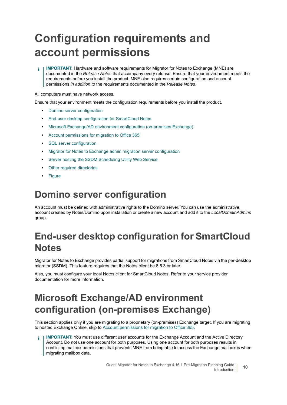# <span id="page-9-0"></span>**Configuration requirements and account permissions**

**IMPORTANT:** Hardware and software requirements for Migrator for Notes to Exchange (MNE) are î. documented in the *Release Notes* that accompany every release. Ensure that your environment meets the requirements before you install the product. MNE also requires certain configuration and account permissions *in addition to* the requirements documented in the *Release Notes*.

All computers must have network access.

Ensure that your environment meets the configuration requirements before you install the product.

- **•** [Domino server configuration](#page-9-1)
- **•** [End-user desktop configuration for SmartCloud Notes](#page-9-2)
- **•** [Microsoft Exchange/AD environment configuration \(on-premises Exchange\)](#page-9-3)
- **•** [Account permissions for migration to Office 365](#page-11-0)
- **•** [SQL server configuration](#page-12-0)
- **•** [Migrator for Notes to Exchange admin migration server configuration](#page-12-1)
- **•** [Server hosting the SSDM Scheduling Utility Web Service](#page-14-1)
- **[Other required directories](#page-14-2)**
- **•** [Figure](#page-14-3)

### <span id="page-9-1"></span>**Domino server configuration**

An account must be defined with administrative rights to the Domino server. You can use the administrative account created by Notes/Domino upon installation or create a new account and add it to the *LocalDomainAdmins* group.

## <span id="page-9-2"></span>**End-user desktop configuration for SmartCloud Notes**

Migrator for Notes to Exchange provides partial support for migrations from SmartCloud Notes via the per-desktop migrator (SSDM). This feature requires that the Notes client be 8.5.3 or later.

Also, you must configure your local Notes client for SmartCloud Notes. Refer to your service provider documentation for more information.

## <span id="page-9-3"></span>**Microsoft Exchange/AD environment configuration (on-premises Exchange)**

<span id="page-9-4"></span>This section applies only if you are migrating to a proprietary (on-premises) Exchange target. If you are migrating to hosted Exchange Online, skip to [Account permissions for migration to Office 365.](#page-11-0)

**IMPORTANT:** You must use different user accounts for the Exchange Account and the Active Directory ÷ Account. Do not use one account for both purposes. Using one account for both purposes results in conflicting mailbox permissions that prevents MNE from being able to access the Exchange mailboxes when migrating mailbox data.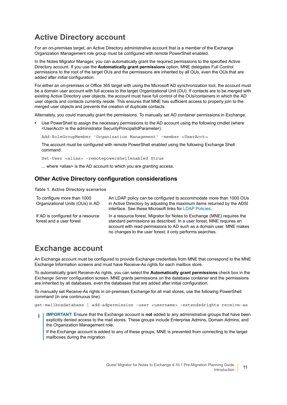### **Active Directory account**

For an on-premises target, an Active Directory administrative account that is a member of the Exchange Organization Management role group must be configured with remote PowerShell enabled.

In the Notes Migrator Manager, you can automatically grant the required permissions to the specified Active Directory account. If you use the **Automatically grant permissions** option, MNE delegates Full Control permissions to the root of the target OUs and the permissions are inherited by all OUs, even the OUs that are added after initial configuration.

For either an on-premises or Office 365 target with using the Microsoft AD synchronization tool, the account must be a domain user account with full access to the target Organizational Unit (OU). If contacts are to be merged with existing Active Directory user objects, the account must have full control of the OUs/containers in which the AD user objects and contacts currently reside. This ensures that MNE has sufficient access to properly join to the merged user objects and prevents the creation of duplicate contacts.

Alternately, you could manually grant the permissions. To manually set AD container permissions in Exchange:

**•** Use PowerShell to assign the necessary permissions to the AD account using the following cmdlet (where <UserAcct> is the administrator SecurityPrincipalIdParameter):

Add-RoleGroupMember 'Organization Management' -member <UserAcct>

The account must be configured with remote PowerShell enabled using the following Exchange Shell command:

Set-User <alias> -remotepowershellenabled \$true

... where <alias> is the AD account to which you are granting access.

#### **Other Active Directory configuration considerations**

**Table 1. Active Directory scenarios**

| To configure more than 1000<br>Organizational Units (OUs) in AD | An LDAP policy can be configured to accommodate more than 1000 OUs<br>in Active Directory by adjusting the maximum items returned by the ADSI<br>interface. See these Microsoft links for LDAP Policies.                                                                             |
|-----------------------------------------------------------------|--------------------------------------------------------------------------------------------------------------------------------------------------------------------------------------------------------------------------------------------------------------------------------------|
| If AD is configured for a resource<br>forest and a user forest  | In a resource forest, Migrator for Notes to Exchange (MNE) requires the<br>standard permissions as described. In a user forest, MNE requires an<br>account with read permissions to AD such as a domain user. MNE makes<br>no changes to the user forest; it only performs searches. |

### **Exchange account**

An Exchange account must be configured to provide Exchange credentials from MNE that correspond to the MNE Exchange Information screens and must have Receive-As rights for each mailbox store.

To automatically grant Receive-As rights, you can select the **Automatically grant permissions** check box in the *Exchange Server* configuration screen. MNE grants permissions on the database container and the permissions are inherited by all databases, even the databases that are added after initial configuration.

To manually set Receive-As rights in on-premises Exchange for all mail stores, use the following PowerShell command (in one continuous line):

get-mailboxdatabase | add-adpermission -user <username> -extendedrights receive-as

**IMPORTANT:** Ensure that the Exchange account is **not** added to any administrative groups that have been ÷ explicitly denied access to the mail stores. These groups include Enterprise Admins, Domain Admins, and the Organization Management role.

If the Exchange account is added to any of these groups, MNE is prevented from connecting to the target mailboxes during the migration.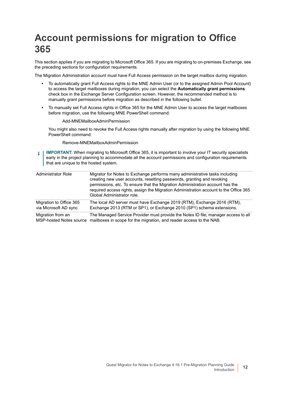## <span id="page-11-0"></span>**Account permissions for migration to Office 365**

This section applies if you are migrating to Microsoft Office 365. If you are migrating to on-premises Exchange, see the preceding sections for configuration requirements.

The Migration Administration account must have Full Access permission on the target mailbox during migration.

- **•** To automatically grant Full Access rights to the MNE Admin User (or to the assigned Admin Pool Account) to access the target mailboxes during migration, you can select the **Automatically grant permissions** check box in the Exchange Server Configuration screen. However, the recommended method is to manually grant permissions before migration as described in the following bullet.
- **•** To manually set Full Access rights in Office 365 for the MNE Admin User to access the target mailboxes before migration, use the following MNE PowerShell command:

Add-MNEMailboxAdminPermission

You might also need to revoke the Full Access rights manually after migration by using the following MNE PowerShell command:

Remove-MNEMailboxAdminPermission

**IMPORTANT:** When migrating to Microsoft Office 365, it is important to involve your IT security specialists ÷ early in the project planning to accommodate all the account permissions and configuration requirements that are unique to the hosted system.

| <b>Administrator Role</b>                        | Migrator for Notes to Exchange performs many administrative tasks including<br>creating new user accounts, resetting passwords, granting and revoking<br>permissions, etc. To ensure that the Migration Administration account has the<br>required access rights, assign the Migration Administration account to the Office 365<br>Global Administrator role. |
|--------------------------------------------------|---------------------------------------------------------------------------------------------------------------------------------------------------------------------------------------------------------------------------------------------------------------------------------------------------------------------------------------------------------------|
| Migration to Office 365<br>via Microsoft AD sync | The local AD server must have Exchange 2019 (RTM), Exchange 2016 (RTM),<br>Exchange 2013 (RTM or SP1), or Exchange 2010 (SP1) schema extensions.                                                                                                                                                                                                              |
| Migration from an                                | The Managed Service Provider must provide the Notes ID file, manager access to all<br>MSP-hosted Notes source mailboxes in scope for the migration, and reader access to the NAB.                                                                                                                                                                             |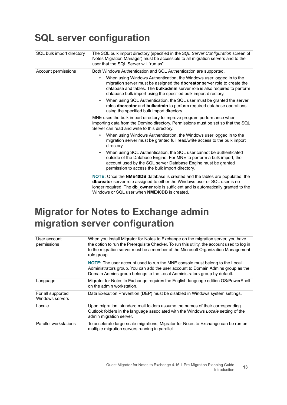## <span id="page-12-0"></span>**SQL server configuration**

| SQL bulk import directory | The SQL bulk import directory (specified in the SQL Server Configuration screen of<br>Notes Migration Manager) must be accessible to all migration servers and to the<br>user that the SQL Server will "run as".                                                                                                              |
|---------------------------|-------------------------------------------------------------------------------------------------------------------------------------------------------------------------------------------------------------------------------------------------------------------------------------------------------------------------------|
| Account permissions       | Both Windows Authentication and SQL Authentication are supported.                                                                                                                                                                                                                                                             |
|                           | When using Windows Authentication, the Windows user logged in to the<br>$\bullet$<br>migration server must be assigned the <b>dbcreator</b> server role to create the<br>database and tables. The <b>bulkadmin</b> server role is also required to perform<br>database bulk import using the specified bulk import directory. |
|                           | When using SQL Authentication, the SQL user must be granted the server<br>$\bullet$<br>roles dbcreator and bulkadmin to perform required database operations<br>using the specified bulk import directory.                                                                                                                    |
|                           | MNE uses the bulk import directory to improve program performance when<br>importing data from the Domino directory. Permissions must be set so that the SQL<br>Server can read and write to this directory.                                                                                                                   |
|                           | When using Windows Authentication, the Windows user logged in to the<br>$\bullet$<br>migration server must be granted full read/write access to the bulk import<br>directory.                                                                                                                                                 |
|                           | When using SQL Authentication, the SQL user cannot be authenticated<br>$\bullet$<br>outside of the Database Engine. For MNE to perform a bulk import, the<br>account used by the SQL server Database Engine must be granted<br>permission to access the bulk import directory.                                                |
|                           | NOTE: Once the NME40DB database is created and the tables are populated, the<br>dbcreator server role assigned to either the Windows user or SQL user is no<br>longer required. The <b>db_owner</b> role is sufficient and is automatically granted to the<br>Windows or SQL user when <b>NME40DB</b> is created.             |

## <span id="page-12-2"></span><span id="page-12-1"></span>**Migrator for Notes to Exchange admin migration server configuration**

| User account<br>permissions          | When you install Migrator for Notes to Exchange on the migration server, you have<br>the option to run the Prerequisite Checker. To run this utility, the account used to log in<br>to the migration server must be a member of the Microsoft Organization Management<br>role group. |
|--------------------------------------|--------------------------------------------------------------------------------------------------------------------------------------------------------------------------------------------------------------------------------------------------------------------------------------|
|                                      | NOTE: The user account used to run the MNE console must belong to the Local<br>Administrators group. You can add the user account to Domain Admins group as the<br>Domain Admins group belongs to the Local Administrators group by default.                                         |
| Language                             | Migrator for Notes to Exchange requires the English-language edition OS/PowerShell<br>on the admin workstation.                                                                                                                                                                      |
| For all supported<br>Windows servers | Data Execution Prevention (DEP) must be disabled in Windows system settings.                                                                                                                                                                                                         |
| Locale                               | Upon migration, standard mail folders assume the names of their corresponding<br>Outlook folders in the language associated with the Windows Locale setting of the<br>admin migration server.                                                                                        |
| Parallel workstations                | To accelerate large-scale migrations, Migrator for Notes to Exchange can be run on<br>multiple migration servers running in parallel.                                                                                                                                                |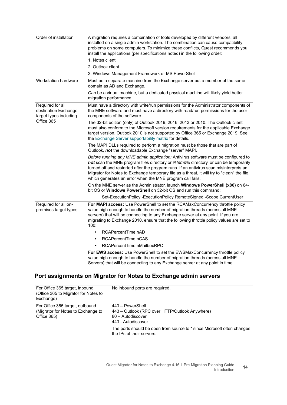| Order of installation                                                            | A migration requires a combination of tools developed by different vendors, all<br>installed on a single admin workstation. The combination can cause compatibility<br>problems on some computers. To minimize these conflicts, Quest recommends you<br>install the applications (per specifications noted) in the following order:                                                                                             |  |  |  |  |
|----------------------------------------------------------------------------------|---------------------------------------------------------------------------------------------------------------------------------------------------------------------------------------------------------------------------------------------------------------------------------------------------------------------------------------------------------------------------------------------------------------------------------|--|--|--|--|
|                                                                                  | 1. Notes client                                                                                                                                                                                                                                                                                                                                                                                                                 |  |  |  |  |
|                                                                                  | 2. Outlook client                                                                                                                                                                                                                                                                                                                                                                                                               |  |  |  |  |
|                                                                                  | 3. Windows Management Framework or MS PowerShell                                                                                                                                                                                                                                                                                                                                                                                |  |  |  |  |
| Workstation hardware                                                             | Must be a separate machine from the Exchange server but a member of the same<br>domain as AD and Exchange.                                                                                                                                                                                                                                                                                                                      |  |  |  |  |
|                                                                                  | Can be a virtual machine, but a dedicated physical machine will likely yield better<br>migration performance.                                                                                                                                                                                                                                                                                                                   |  |  |  |  |
| Required for all<br>destination Exchange<br>target types including<br>Office 365 | Must have a directory with write/run permissions for the Administrator components of<br>the MNE software and must have a directory with read/run permissions for the user<br>components of the software.                                                                                                                                                                                                                        |  |  |  |  |
|                                                                                  | The 32-bit edition (only) of Outlook 2019, 2016, 2013 or 2010. The Outlook client<br>must also conform to the Microsoft version requirements for the applicable Exchange<br>target version. Outlook 2010 is not supported by Office 365 or Exchange 2019. See<br>the Exchange Server supportability matrix for details.                                                                                                         |  |  |  |  |
|                                                                                  | The MAPI DLLs required to perform a migration must be those that are part of<br>Outlook, not the downloadable Exchange "server" MAPI.                                                                                                                                                                                                                                                                                           |  |  |  |  |
|                                                                                  | Before running any MNE admin application: Antivirus software must be configured to<br>not scan the MNE program files directory or %temp% directory, or can be temporarily<br>turned off and restarted after the program runs. If an antivirus scan misinterprets an<br>Migrator for Notes to Exchange temporary file as a threat, it will try to "clean" the file,<br>which generates an error when the MNE program call fails. |  |  |  |  |
|                                                                                  | On the MNE server as the Administrator, launch Windows PowerShell (x86) on 64-<br>bit OS or <b>Windows PowerShell</b> on 32-bit OS and run this command:                                                                                                                                                                                                                                                                        |  |  |  |  |
|                                                                                  | Set-ExecutionPolicy -ExecutionPolicy RemoteSigned -Scope CurrentUser                                                                                                                                                                                                                                                                                                                                                            |  |  |  |  |
| Required for all on-<br>premises target types                                    | For MAPI access: Use PowerShell to set the RCAMaxConcurrency throttle policy<br>value high enough to handle the number of migration threads (across all MNE<br>servers) that will be connecting to any Exchange server at any point. If you are<br>migrating to Exchange 2010, ensure that the following throttle policy values are set to<br>100:                                                                              |  |  |  |  |
|                                                                                  | <b>RCAPercentTimeInAD</b><br>$\bullet$                                                                                                                                                                                                                                                                                                                                                                                          |  |  |  |  |
|                                                                                  | <b>RCAPercentTimeInCAS</b><br>$\bullet$                                                                                                                                                                                                                                                                                                                                                                                         |  |  |  |  |
|                                                                                  | <b>RCAPercentTimeInMailboxRPC</b><br>$\bullet$                                                                                                                                                                                                                                                                                                                                                                                  |  |  |  |  |
|                                                                                  | For EWS access: Use PowerShell to set the EWSMaxConcurrency throttle policy<br>value high enough to handle the number of migration threads (across all MNE<br>Servers) that will be connecting to any Exchange server at any point in time.                                                                                                                                                                                     |  |  |  |  |

### **Port assignments on Migrator for Notes to Exchange admin servers**

| For Office 365 target, inbound<br>(Office 365 to Migrator for Notes to<br>Exchange)  | No inbound ports are required.                                                                                |
|--------------------------------------------------------------------------------------|---------------------------------------------------------------------------------------------------------------|
| For Office 365 target, outbound<br>(Migrator for Notes to Exchange to<br>Office 365) | 443 - PowerShell<br>443 – Outlook (RPC over HTTP/Outlook Anywhere)<br>80 - Autodiscover<br>443 - Autodiscover |
|                                                                                      | The ports should be open from source to * since Microsoft often changes<br>the IPs of their servers.          |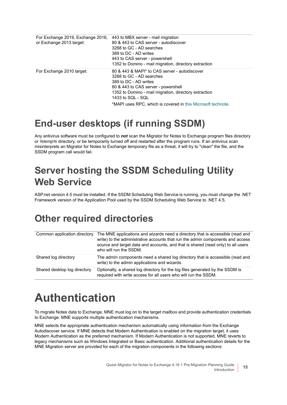| For Exchange 2019, Exchange 2016,<br>or Exchange 2013 target: | 443 to MBX server - mail migration<br>80 & 443 to CAS server - autodiscover<br>3268 to GC - AD searches<br>389 to DC - AD writes<br>443 to CAS server - powershell<br>1352 to Domino - mail migration, directory extraction                                                             |
|---------------------------------------------------------------|-----------------------------------------------------------------------------------------------------------------------------------------------------------------------------------------------------------------------------------------------------------------------------------------|
| For Exchange 2010 target:                                     | 80 & 443 & MAPI* to CAS server - autodiscover<br>3268 to GC - AD searches<br>389 to DC - AD writes<br>80 & 443 to CAS server - powershell<br>1352 to Domino - mail migration, directory extraction<br>1433 to SQL - SQL<br>*MAPI uses RPC, which is covered in this Microsoft technote. |

## <span id="page-14-0"></span>**End-user desktops (if running SSDM)**

Any antivirus software must be configured to *not* scan the Migrator for Notes to Exchange program files directory or *%temp%* directory, or be temporarily turned off and restarted after the program runs. If an antivirus scan misinterprets an Migrator for Notes to Exchange temporary file as a threat, it will try to "clean" the file, and the SSDM program call would fail.

## <span id="page-14-1"></span>**Server hosting the SSDM Scheduling Utility Web Service**

ASP.net version 4.5 must be installed. If the SSDM Scheduling Web Service is running, you must change the .NET Framework version of the Application Pool used by the SSDM Scheduling Web Service to .NET 4.5.

## <span id="page-14-2"></span>**Other required directories**

| Common application directory | The MNE applications and wizards need a directory that is accessible (read and<br>write) to the administrative accounts that run the admin components and access<br>source and target data and accounts, and that is shared (read only) to all users<br>who will run the SSDM. |
|------------------------------|--------------------------------------------------------------------------------------------------------------------------------------------------------------------------------------------------------------------------------------------------------------------------------|
| Shared log directory         | The admin components need a shared log directory that is accessible (read and<br>write) to the admin applications and wizards.                                                                                                                                                 |
| Shared desktop log directory | Optionally, a shared log directory for the log files generated by the SSDM is<br>required with write access for all users who will run the SSDM.                                                                                                                               |

# <span id="page-14-3"></span>**Authentication**

To migrate Notes data to Exchange, MNE must log on to the target mailbox and provide authentication credentials to Exchange. MNE supports multiple authentication mechanisms.

MNE selects the appropriate authentication mechanism automatically using information from the Exchange Autodiscover service. If MNE detects that Modern Authentication is enabled on the migration target, it uses Modern Authentication as the preferred mechanism. If Modern Authentication is not supported, MNE reverts to legacy mechanisms such as Windows Integrated or Basic authentication. Additional authentication details for the MNE Migration server are provided for each of the migration components in the following sections: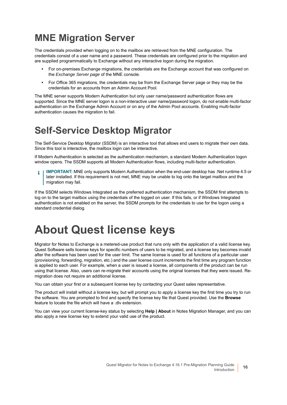## <span id="page-15-0"></span>**MNE Migration Server**

The credentials provided when logging on to the mailbox are retrieved from the MNE configuration. The credentials consist of a user name and a password. These credentials are configured prior to the migration and are supplied programmatically to Exchange without any interactive logon during the migration.

- **•** For on-premises Exchange migrations, the credentials are the Exchange account that was configured on the *Exchange Server page* of the MNE console.
- **•** For Office 365 migrations, the credentials may be from the Exchange Server page or they may be the credentials for an accounts from an Admin Account Pool.

The MNE server supports Modern Authentication but only user name/password authentication flows are supported. Since the MNE server logon is a non-interactive user name/password logon, do not enable multi-factor authentication on the Exchange Admin Account or on any of the Admin Pool accounts. Enabling multi-factor authentication causes the migration to fail.

### <span id="page-15-1"></span>**Self-Service Desktop Migrator**

The Self-Service Desktop Migrator (SSDM) is an interactive tool that allows end users to migrate their own data. Since this tool is interactive, the mailbox login can be interactive.

If Modern Authentication is selected as the authentication mechanism, a standard Modern Authentication logon window opens. The SSDM supports all Modern Authentication flows, including multi-factor authentication.

**IMPORTANT:** MNE only supports Modern Authentication when the end-user desktop has .Net runtime 4.5 or later installed. If this requirement is not met, MNE may be unable to log onto the target mailbox and the migration may fail.

If the SSDM selects Windows Integrated as the preferred authentication mechanism, the SSDM first attempts to log on to the target mailbox using the credentials of the logged on user. If this fails, or if Windows Integrated authentication is not enabled on the server, the SSDM prompts for the credentials to use for the logon using a standard credential dialog.

# <span id="page-15-2"></span>**About Quest license keys**

Migrator for Notes to Exchange is a metered-use product that runs only with the application of a valid license key. Quest Software sells license keys for specific numbers of users to be migrated, and a license key becomes invalid after the software has been used for the user limit. The same license is used for all functions of a particular user (provisioning, forwarding, migration, etc.) and the user license count increments the first time any program function is applied to each user. For example, when a user is issued a license, all components of the product can be run using that license. Also, users can re-migrate their accounts using the original licenses that they were issued. Remigration does not require an additional license.

You can obtain your first or a subsequent license key by contacting your Quest sales representative.

The product will install without a license key, but will prompt you to apply a license key the first time you try to run the software. You are prompted to find and specify the license key file that Quest provided. Use the **Browse** feature to locate the file which will have a .dlv extension.

You can view your current license-key status by selecting **Help | About** in Notes Migration Manager, and you can also apply a new license key to extend your valid use of the product.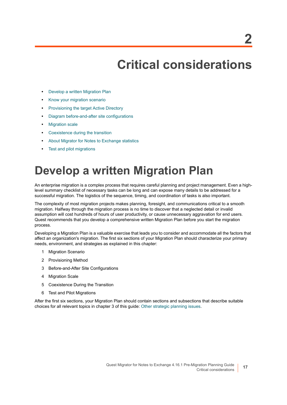# **Critical considerations**

- <span id="page-16-0"></span>**•** [Develop a written Migration Plan](#page-16-1)
- **•** [Know your migration scenario](#page-17-0)
- **•** [Provisioning the target Active Directory](#page-18-0)
- **•** [Diagram before-and-after site configurations](#page-20-0)
- **•** [Migration scale](#page-21-0)
- **•** [Coexistence during the transition](#page-23-0)
- **•** [About Migrator for Notes to Exchange statistics](#page-28-0)
- **•** [Test and pilot migrations](#page-28-1)

# <span id="page-16-1"></span>**Develop a written Migration Plan**

<span id="page-16-2"></span>An enterprise migration is a complex process that requires careful planning and project management. Even a highlevel summary checklist of necessary tasks can be long and can expose many details to be addressed for a successful migration. The logistics of the sequence, timing, and coordination of tasks is also important.

The complexity of most migration projects makes planning, foresight, and communications critical to a smooth migration. Halfway through the migration process is no time to discover that a neglected detail or invalid assumption will cost hundreds of hours of user productivity, or cause unnecessary aggravation for end users. Quest recommends that you develop a comprehensive written Migration Plan before you start the migration process.

Developing a Migration Plan is a valuable exercise that leads you to consider and accommodate all the factors that affect an organization's migration. The first six sections of your Migration Plan should characterize your primary needs, environment, and strategies as explained in this chapter:

- 1 Migration Scenario
- 2 Provisioning Method
- 3 Before-and-After Site Configurations
- 4 Migration Scale
- 5 Coexistence During the Transition
- 6 Test and Pilot Migrations

After the first six sections, your Migration Plan should contain sections and subsections that describe suitable choices for all relevant topics in chapter 3 of this guide: [Other strategic planning issues](#page-30-3).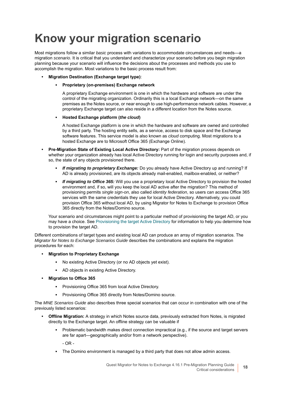# <span id="page-17-0"></span>**Know your migration scenario**

Most migrations follow a similar *basic* process with variations to accommodate circumstances and needs—a migration *scenario*. It is critical that you understand and characterize your scenario before you begin migration planning because your scenario will influence the decisions about the processes and methods you use to accomplish the migration. Most variations to the basic process result from:

- **Migration Destination (Exchange target type)**:
	- **Proprietary (on-premises) Exchange network**

<span id="page-17-2"></span>A proprietary Exchange environment is one in which the hardware and software are under the control of the migrating organization. Ordinarily this is a local Exchange network—on the same premises as the Notes source, or near enough to use high-performance network cables. However, a proprietary Exchange target can also reside in a different location from the Notes source.

#### **Hosted Exchange platform (***the cloud***)**

A hosted Exchange platform is one in which the hardware and software are owned and controlled by a third party. The hosting entity sells, as a service, access to disk space and the Exchange software features. This service model is also known as *cloud* computing. Most migrations to a hosted Exchange are to Microsoft Office 365 (Exchange Online).

- **Pre-Migration State of Existing Local Active Directory:** Part of the migration process depends on whether your organization already has local Active Directory running for login and security purposes and, if so, the state of any objects provisioned there.
	- **▪** *If migrating to proprietary Exchange:* Do you already have Active Directory up and running? If AD is already provisioned, are its objects already mail-enabled, mailbox-enabled, or neither?
	- **▪** *If migrating to Office 365:* Will you use a proprietary local Active Directory to provision the hosted environment and, if so, will you keep the local AD active after the migration? This method of provisioning permits *single sign-on*, also called *identity federation*, so users can access Office 365 services with the same credentials they use for local Active Directory. Alternatively, you could provision Office 365 without local AD, by using Migrator for Notes to Exchange to provision Office 365 directly from the Notes/Domino source.

<span id="page-17-1"></span>Your scenario and circumstances might point to a particular method of provisioning the target AD, or you may have a choice. See [Provisioning the target Active Directory](#page-18-0) for information to help you determine how to provision the target AD.

Different combinations of target types and existing local AD can produce an array of migration scenarios. The *Migrator for Notes to Exchange Scenarios Guide* describes the combinations and explains the migration procedures for each:

- **Migration to Proprietary Exchange**
	- No existing Active Directory (or no AD objects yet exist).
	- **▪** AD objects in existing Active Directory.
- **Migration to Office 365**
	- **▪** Provisioning Office 365 from local Active Directory.
	- **▪** Provisioning Office 365 directly from Notes/Domino source.

The *MNE Scenarios Guide* also describes three special scenarios that can occur in combination with one of the previously listed scenarios:

- **Offline Migration:** A strategy in which Notes source data, previously extracted from Notes, is migrated directly to the Exchange target. An offline strategy can be valuable if
	- **▪** Problematic bandwidth makes direct connection impractical (e.g., if the source and target servers are far apart—geographically and/or from a network perspective).

 $-$  OR  $-$ 

The Domino environment is managed by a third party that does not allow admin access.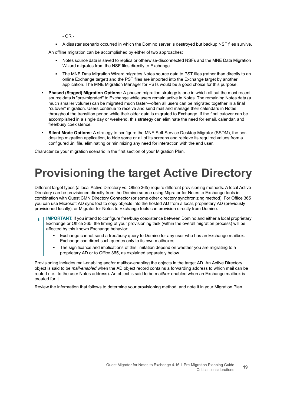$-$  OR  $-$ 

**▪** A disaster scenario occurred in which the Domino server is destroyed but backup NSF files survive.

An offline migration can be accomplished by either of two approaches:

- **▪** Notes source data is saved to replica or otherwise-disconnected NSFs and the MNE Data Migration Wizard migrates from the NSF files directly to Exchange.
- **The MNE Data Migration Wizard migrates Notes source data to PST files (rather than directly to an** online Exchange target) and the PST files are imported into the Exchange target by another application. The MNE Migration Manager for PSTs would be a good choice for this purpose.
- **Phased (Staged) Migration Options:** A phased migration strategy is one in which all but the most recent source data is "pre-migrated" to Exchange while users remain active in Notes. The remaining Notes data (a much smaller volume) can be migrated much faster—often all users can be migrated together in a final "cutover" migration. Users continue to receive and send mail and manage their calendars in Notes throughout the transition period while their older data is migrated to Exchange. If the final cutover can be accomplished in a single day or weekend, this strategy can eliminate the need for email, calendar, and free/busy coexistence.
- **Silent Mode Options:** A strategy to configure the MNE Self-Service Desktop Migrator (SSDM), the perdesktop migration application, to hide some or all of its screens and retrieve its required values from a configured .ini file, eliminating or minimizing any need for interaction with the end user.

Characterize your migration scenario in the first section of your Migration Plan.

# <span id="page-18-0"></span>**Provisioning the target Active Directory**

Different target types (a local Active Directory vs. Office 365) require different provisioning methods. A local Active Directory can be provisioned directly from the Domino source using Migrator for Notes to Exchange tools in combination with Quest CMN Directory Connector (or some other directory synchronizing method). For Office 365 you can use Microsoft AD sync tool to copy objects into the hosted AD from a local, proprietary AD (previously provisioned locally), or Migrator for Notes to Exchange tools can provision directly from Domino.

- <span id="page-18-1"></span>**IMPORTANT:** If you intend to configure free/busy coexistence between Domino and either a local proprietary ÷ Exchange or Office 365, the timing of your provisioning task (within the overall migration process) will be affected by this known Exchange behavior:
	- **•** Exchange cannot send a free/busy query to Domino for any user who has an Exchange mailbox. Exchange can direct such queries only to its own mailboxes.
	- **•** The significance and implications of this limitation depend on whether you are migrating to a proprietary AD or to Office 365, as explained separately below.

Provisioning includes mail-enabling and/or mailbox-enabling the objects in the target AD. An Active Directory object is said to be *mail-enabled* when the AD object record contains a forwarding address to which mail can be routed (i.e., to the user Notes address). An object is said to be mail*box*-enabled when an Exchange mailbox is created for it.

Review the information that follows to determine your provisioning method, and note it in your Migration Plan.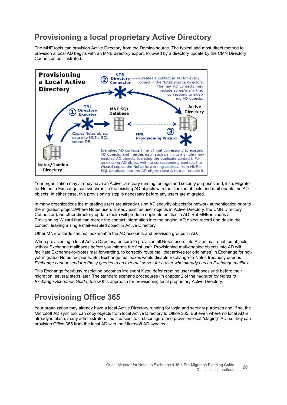### <span id="page-19-0"></span>**Provisioning a local proprietary Active Directory**

<span id="page-19-2"></span>The MNE tools can provision Active Directory from the Domino source. The typical and most direct method to provision a local AD begins with an MNE directory export, followed by a directory update by the CMN Directory Connector, as illustrated.



Your organization may already have an Active Directory running for login and security purposes and, if so, Migrator for Notes to Exchange can synchronize the existing AD objects with the Domino objects and mail-enable the AD objects. In either case, this provisioning step is necessary before any users are migrated.

<span id="page-19-7"></span><span id="page-19-6"></span><span id="page-19-5"></span>In many organizations the migrating users are already using AD security objects for network authentication prior to the migration project.Where Notes users already exist as user objects in Active Directory, the CMN Directory Connector (and other directory-update tools) will produce duplicate entities in AD. But MNE includes a Provisioning Wizard that can merge the contact information into the original AD object record and delete the contact, leaving a single mail-enabled object in Active Directory.

Other MNE wizards can mailbox-enable the AD accounts and provision groups in AD.

When provisioning a local Active Directory, be sure to provision all Notes users into AD as mail-enabled objects, with*out* Exchange mailboxes before you migrate the first user. Provisioning mail-enabled objects into AD will facilitate Exchange-to-Notes mail forwarding, to correctly route mail that arrives (or originates) in Exchange for notyet-migrated Notes recipients. But Exchange mailboxes would disable Exchange-to-Notes free/busy queries: *Exchange cannot send free/busy queries to an external server for a user who already has an Exchange mailbox.*

This Exchange free/busy restriction becomes irrelevant if you defer creating user mailboxes until before their migration, several steps later. The standard scenario procedures (in chapter 2 of the *Migrator for Notes to Exchange Scenarios Guide*) follow this approach for provisioning local proprietary Active Directory.

### <span id="page-19-4"></span><span id="page-19-1"></span>**Provisioning Office 365**

<span id="page-19-3"></span>Your organization may already have a local Active Directory running for login and security purposes and, if so, the Microsoft AD sync tool can copy objects from local Active Directory to Office 365. But even where no local AD is already in place, many administrators find it easiest to first configure and provision local "staging" AD, so they can provision Office 365 from the local AD with the Microsoft AD sync tool.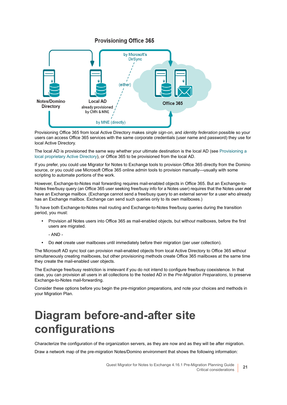#### <span id="page-20-2"></span><span id="page-20-1"></span>**Provisioning Office 365**



Provisioning Office 365 from local Active Directory makes *single sign-on*, and *identity federation* possible so your users can access Office 365 services with the same corporate credentials (user name and password) they use for local Active Directory.

The local AD is provisioned the same way whether your ultimate destination is the local AD (see [Provisioning a](#page-19-0)  [local proprietary Active Directory](#page-19-0)), or Office 365 to be provisioned from the local AD.

If you prefer, you could use Migrator for Notes to Exchange tools to provision Office 365 directly from the Domino source, or you could use Microsoft Office 365 online admin tools to provision manually—usually with some scripting to automate portions of the work.

However, Exchange-to-Notes mail forwarding requires mail-enabled objects in Office 365. But an Exchange-to-Notes free/busy query (an Office 365 user seeking free/busy info for a Notes user) requires that the Notes user *not* have an Exchange mailbox. (Exchange cannot send a free/busy query to an external server for a user who already has an Exchange mailbox. Exchange can send such queries only to its own mailboxes.)

To have both Exchange-to-Notes mail routing and Exchange-to-Notes free/busy queries during the transition period, you must:

**•** Provision *all* Notes users into Office 365 as mail-enabled objects, but with*out* mailboxes, before the first users are migrated.

 $-$  AND  $-$ 

**•** Do *not* create user mailboxes until immediately before their migration (per user collection).

The Microsoft AD sync tool can provision mail-enabled objects from local Active Directory to Office 365 with*out* simultaneously creating mailboxes, but other provisioning methods create Office 365 mailboxes at the same time they create the mail-enabled user objects.

The Exchange free/busy restriction is irrelevant if you do not intend to configure free/busy coexistence. In that case, you can provision all users in all collections to the hosted AD in the *Pre-Migration Preparations*, to preserve Exchange-to-Notes mail-forwarding.

Consider these options before you begin the pre-migration preparations, and note your choices and methods in your Migration Plan.

# <span id="page-20-0"></span>**Diagram before-and-after site configurations**

Characterize the configuration of the organization servers, as they are now and as they will be after migration.

Draw a network map of the pre-migration Notes/Domino environment that shows the following information: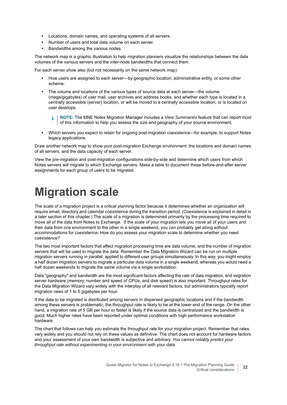- **•** Locations, domain names, and operating systems of all servers.
- <span id="page-21-7"></span><span id="page-21-1"></span>**•** Number of users and total data volume on each server.
- **•** Bandwidths among the various nodes.

The network map is a graphic illustration to help migration planners visualize the relationships between the data volumes of the various servers and the inter-node bandwidths that connect them.

For each server show also (but not necessarily on the same network map):

- **•** How users are assigned to each server—by geographic location, administrative entity, or some other scheme.
- <span id="page-21-5"></span>**•** The volume and locations of the various types of source data at each server—the volume (mega/gigabytes) of user mail, user archives and address books, and whether each type is located in a centrally accessible (server) location, or will be moved to a centrally accessible location, or is located on user desktops.

<span id="page-21-9"></span>**i** | NOTE: The MNE Notes Migration Manager includes a *View Summaries* feature that can report most of this information to help you assess the size and geography of your source environment.

**•** Which servers you expect to retain for ongoing post-migration coexistence—for example, to support Notes legacy applications.

Draw another network map to show your post-migration Exchange environment: the locations and domain names of all servers, and the data capacity of each server.

View the pre-migration and post-migration configurations side-by-side and determine which users from which Notes servers will migrate to which Exchange servers. Make a table to document these before-and-after server assignments for each group of users to be migrated.

## <span id="page-21-0"></span>**Migration scale**

<span id="page-21-4"></span><span id="page-21-3"></span><span id="page-21-2"></span>The scale of a migration project is a critical planning factor because it determines whether an organization will require email, directory and calendar coexistence during the transition period. (Coexistence is explained in detail in a later section of this chapter.) The scale of a migration is determined primarily by the processing time required to move all of the data from Notes to Exchange. If the scale of your migration lets you move all of your users and their data from one environment to the other in a single weekend, you can probably get along without accommodations for coexistence. How do you assess your migration scale to determine whether you need coexistence?

<span id="page-21-8"></span>The two most important factors that affect migration processing time are data volume, and the number of migration servers that will be used to migrate the data. Remember the Data Migration Wizard can be run on multiple migration servers running in parallel, applied to different user groups simultaneously. In this way, you might employ a half dozen migration servers to migrate a particular data volume in a single weekend, whereas you would need a half dozen weekends to migrate the same volume via a single workstation.

<span id="page-21-6"></span>Data "geography" and bandwidth are the most significant factors affecting the *rate* of data migration, and migration server hardware (memory, number and speed of CPUs, and disk speed) is also important. Throughput rates for the Data Migration Wizard vary widely with the interplay of all relevant factors, but administrators typically report migration rates of 1 to 5 gigabytes per hour.

If the data to be migrated is distributed among servers in dispersed geographic locations and if the bandwidth among these servers is problematic, the throughput rate is likely to be at the lower end of the range. On the other hand, a migration rate of 5 GB per hour or faster is likely if the source data is centralized and the bandwidth is good. Much higher rates have been reported under optimal conditions with high-performance workstation hardware.

The chart that follows can help you estimate the throughput rate for your migration project. Remember that rates vary widely and you should not rely on these values as definitive. The chart does not account for hardware factors and your assessment of your own bandwidth is subjective and arbitrary. *You cannot reliably predict your throughput rate without experimenting in your environment with your data.*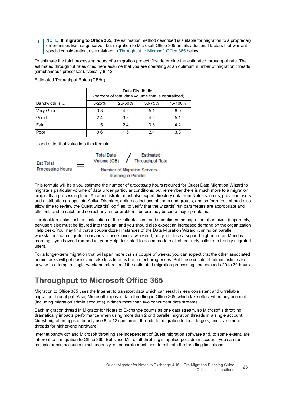**NOTE: If migrating to Office 365,** the estimation method described is suitable for migration to a proprietary ÷ on-premises Exchange server, but migration to Microsoft Office 365 entails additional factors that warrant special consideration, as explained in [Throughput to Microsoft Office 365](#page-22-0) below.

To estimate the total processing hours of a migration project, first determine the estimated throughput rate. The estimated throughput rates cited here assume that you are operating at an optimum number of migration threads (simultaneous processes), typically 8–12:

Estimated Throughput Rates (GB/hr)

|              | Data Distribution<br>(percent of total data volume that is centralized) |               |        |         |  |
|--------------|-------------------------------------------------------------------------|---------------|--------|---------|--|
| Bandwidth is | $0 - 25%$                                                               | 25-50%        | 50-75% | 75-100% |  |
| Very Good    | 3.3                                                                     | 4.2           | 5.1    | 6.0     |  |
| Good         | 2.4                                                                     | 3.3           | 4.2    | 5.1     |  |
| Fair         | 1.5                                                                     | 2.4           | 3.3    | 4.2     |  |
| Poor         | 0.6                                                                     | $1.5^{\circ}$ | 24     | 3.3     |  |

... and enter that value into this formula:

| <b>Est Total</b>        |   | <b>Total Data</b><br>Volume (GB)                   |  | Estimated<br><b>Throughput Rate</b> |  |  |
|-------------------------|---|----------------------------------------------------|--|-------------------------------------|--|--|
| <b>Processing Hours</b> | - | Number of Migration Servers<br>Running in Parallel |  |                                     |  |  |

<span id="page-22-2"></span>This formula will help you estimate the number of *processing* hours required for Quest Data Migration Wizard to migrate a particular volume of data under particular conditions, but remember there is much more to a migration project than processing time. An administrator must also export directory data from Notes sources, provision users and distribution groups into Active Directory, define collections of users and groups, and so forth. You should also allow time to review the Quest wizards' log files, to verify that the wizards' run parameters are appropriate and efficient, and to catch and correct any minor problems before they become major problems.

<span id="page-22-6"></span><span id="page-22-5"></span><span id="page-22-3"></span><span id="page-22-1"></span>Per-desktop tasks such as installation of the Outlook client, and sometimes the migration of archives (separately, per-user) also must be figured into the plan, and you should also expect an increased demand on the organization Help desk. You may find that a couple dozen instances of the Data Migration Wizard running on parallel workstations can migrate thousands of users over a weekend, but you'll face a support nightmare on Monday morning if you haven't ramped up your Help desk staff to accommodate all of the likely calls from freshly migrated users.

For a longer-term migration that will span more than a couple of weeks, you can expect that the other associated admin tasks will get easier and take less time as the project progresses. But these collateral admin tasks make it unwise to attempt a single-weekend migration if the estimated migration processing time exceeds 20 to 30 hours.

### <span id="page-22-0"></span>**Throughput to Microsoft Office 365**

<span id="page-22-4"></span>Migration to Office 365 uses the Internet to transport data which can result in less consistent and unreliable migration throughput. Also, Microsoft imposes data throttling in Office 365, which take effect when any account (including migration admin accounts) initiates more than two concurrent data streams.

Each migration thread in Migrator for Notes to Exchange counts as one data stream, so Microsoft's throttling dramatically impacts performance when using more than 2 or 3 parallel migration threads in a single account. Quest migration apps ordinarily use 8 to 12 concurrent threads for migration to local targets, and even more threads for higher-end hardware.

Internet bandwidth and Microsoft throttling are independent of Quest migration software and, to some extent, are inherent to a migration to Office 365. But since Microsoft throttling is applied per admin account, you can run multiple admin accounts simultaneously, on separate machines, to mitigate the throttling limitations.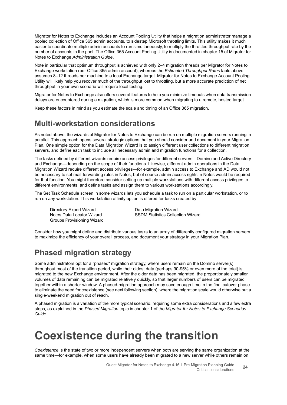Migrator for Notes to Exchange includes an Account Pooling Utility that helps a migration administrator manage a pooled collection of Office 365 admin accounts, to sidestep Microsoft throttling limits. This utility makes it much easier to coordinate multiple admin accounts to run simultaneously, to multiply the throttled throughput rate by the number of accounts in the pool. The Office 365 Account Pooling Utility is documented in chapter 15 of Migrator for Notes to Exchange *Administration Guide*.

Note in particular that optimum throughput is achieved with only 2–4 migration threads per Migrator for Notes to Exchange workstation (per Office 365 admin account), whereas the *Estimated Throughput Rates* table above assumes 8–12 threads per machine to a local Exchange target. Migrator for Notes to Exchange Account Pooling Utility will likely help you recover much of the throughput lost to throttling, but a more accurate prediction of net throughput in your own scenario will require local testing.

Migrator for Notes to Exchange also offers several features to help you minimize timeouts when data transmission delays are encountered during a migration, which is more common when migrating to a remote, hosted target.

Keep these factors in mind as you estimate the scale and timing of an Office 365 migration.

### **Multi-workstation considerations**

As noted above, the wizards of Migrator for Notes to Exchange can be run on multiple migration servers running in parallel. This approach opens several strategic options that you should consider and document in your Migration Plan. One simple option for the Data Migration Wizard is to assign different user collections to different migration servers, and define each task to include all necessary admin and migration functions for a collection.

<span id="page-23-1"></span>The tasks defined by different wizards require access privileges for different servers—Domino and Active Directory and Exchange—depending on the scope of their functions. Likewise, different admin operations in the Data Migration Wizard require different access privileges—for example, admin access to Exchange and AD would not be necessary to set mail-forwarding rules in Notes, but of course admin access rights in Notes would be required for that function. You might therefore consider setting up multiple workstations with different access privileges to different environments, and define tasks and assign them to various workstations accordingly.

<span id="page-23-5"></span>The Set Task Schedule screen in some wizards lets you schedule a task to run on a particular workstation, or to run on *any* workstation. This workstation affinity option is offered for tasks created by:

<span id="page-23-6"></span>Directory Export Wizard Notes Data Locator Wizard Groups Provisioning Wizard <span id="page-23-3"></span>Data Migration Wizard SSDM Statistics Collection Wizard

Consider how you might define and distribute various tasks to an array of differently configured migration servers to maximize the efficiency of your overall process, and document your strategy in your Migration Plan.

### **Phased migration strategy**

<span id="page-23-4"></span>Some administrators opt for a "phased" migration strategy, where users remain on the Domino server(s) throughout most of the transition period, while their oldest data (perhaps 90-95% or even more of the total) is migrated to the new Exchange environment. After the older data has been migrated, the proportionately smaller volumes of data remaining can be migrated relatively quickly, so that larger numbers of users can be migrated together within a shorter window. A phased-migration approach may save enough time in the final cutover phase to eliminate the need for coexistence (see next following section), where the migration scale would otherwise put a single-weekend migration out of reach.

A phased migration is a variation of the more typical scenario, requiring some extra considerations and a few extra steps, as explained in the *Phased Migration* topic in chapter 1 of the *Migrator for Notes to Exchange Scenarios Guide*.

# <span id="page-23-0"></span>**Coexistence during the transition**

<span id="page-23-2"></span>*Coexistence* is the state of two or more independent servers when both are serving the same organization at the same time—for example, when some users have already been migrated to a new server while others remain on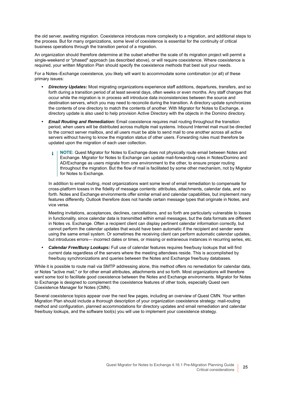the old server, awaiting migration. Coexistence introduces more complexity to a migration, and additional steps to the process. But for many organizations, some level of coexistence is essential for the continuity of critical business operations through the transition period of a migration.

An organization should therefore determine at the outset whether the scale of its migration project will permit a single-weekend or "phased" approach (as described above), or will require coexistence. Where coexistence is required, your written Migration Plan should specify the coexistence methods that best suit your needs.

For a Notes–Exchange coexistence, you likely will want to accommodate some combination (or all) of these primary issues:

- <span id="page-24-3"></span>**•** *Directory Updates:* Most migrating organizations experience staff additions, departures, transfers, and so forth during a transition period of at least several days, often weeks or even months. Any staff changes that occur while the migration is in process will introduce data inconsistencies between the source and destination servers, which you may need to reconcile during the transition. A directory update synchronizes the contents of one directory to match the contents of another. With Migrator for Notes to Exchange, a directory update is also used to help provision Active Directory with the objects in the Domino directory.
- <span id="page-24-2"></span>**•** *Email Routing and Remediation:* Email coexistence requires mail routing throughout the transition period, when users will be distributed across multiple mail systems. Inbound Internet mail must be directed to the correct server mailbox, and all users must be able to send mail to one another across all active servers without having to know the migration status of other users. Forwarding rules must therefore be updated upon the migration of each user collection.
	- **NOTE:** Quest Migrator for Notes to Exchange does not physically route email between Notes and ÷. Exchange. Migrator for Notes to Exchange can update mail-forwarding rules in Notes/Domino and AD/Exchange as users migrate from one environment to the other, to ensure proper routing throughout the migration. But the flow of mail is facilitated by some other mechanism, not by Migrator for Notes to Exchange.

In addition to email routing, most organizations want some level of email remediation to compensate for cross-platform losses in the fidelity of message contents: attributes, attachments, calendar data, and so forth. Notes and Exchange environments offer similar email and calendar capabilities, but implement many features differently. Outlook therefore does not handle certain message types that originate in Notes, and vice versa.

<span id="page-24-0"></span>Meeting invitations, acceptances, declines, cancellations, and so forth are particularly vulnerable to losses in functionality, since calendar data is transmitted within email messages, but the data formats are different in Notes vs. Exchange. Often a recipient client can display pertinent calendar information correctly, but cannot perform the calendar updates that would have been automatic if the recipient and sender were using the same email system. Or sometimes the receiving client can perform automatic calendar updates, but introduces errors— incorrect dates or times, or missing or extraneous instances in recurring series, etc.

<span id="page-24-1"></span>**•** *Calendar Free/Busy Lookups:* Full use of calendar features requires free/busy lookups that will find current data regardless of the servers where the meeting attendees reside. This is accomplished by free/busy synchronizations and queries between the Notes and Exchange free/busy databases.

While it is possible to route mail via SMTP addressing alone, this method offers no remediation for calendar data, or Notes "active mail," or for other email attributes, attachments and so forth. Most organizations will therefore want some tool to facilitate good coexistence between the Notes and Exchange environments. Migrator for Notes to Exchange is designed to complement the coexistence features of other tools, especially Quest own Coexistence Manager for Notes (CMN).

Several coexistence topics appear over the next few pages, including an overview of Quest CMN. Your written Migration Plan should include a thorough description of your organization coexistence strategy: mail-routing method and configuration, planned accommodations for directory updates and email remediation and calendar free/busy lookups, and the software tool(s) you will use to implement your coexistence strategy.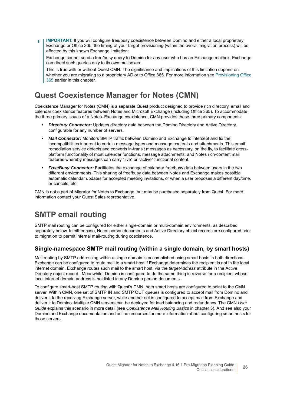**IMPORTANT:** If you will configure free/busy coexistence between Domino and either a local proprietary ÷ Exchange or Office 365, the timing of your target provisioning (within the overall migration process) will be affected by this known Exchange limitation:

<span id="page-25-1"></span>Exchange cannot send a free/busy query to Domino for any user who has an Exchange mailbox. Exchange can direct such queries only to its own mailboxes.

This is true with or without Quest CMN. The significance and implications of this limitation depend on whether you are migrating to a proprietary AD or to Office 365. For more information see [Provisioning Office](#page-19-1)  [365](#page-19-1) earlier in this chapter.

### **Quest Coexistence Manager for Notes (CMN)**

<span id="page-25-0"></span>Coexistence Manager for Notes (CMN) is a separate Quest product designed to provide rich directory, email and calendar coexistence features between Notes and Microsoft Exchange (including Office 365). To accommodate the three primary issues of a Notes–Exchange coexistence, CMN provides these three primary components:

- **•** *Directory Connector:* Updates directory data between the Domino Directory and Active Directory, configurable for any number of servers.
- **•** *Mail Connector:* Monitors SMTP traffic between Domino and Exchange to intercept and fix the incompatibilities inherent to certain message types and message contents and attachments. This email remediation service detects and converts in-transit messages as necessary, on the fly, to facilitate crossplatform functionality of most calendar functions, message attachments, and Notes rich-content mail features whereby messages can carry "live" or "active" functional content.
- **•** *Free/Busy Connector:* Facilitates the exchange of calendar free/busy data between users in the two different environments. This sharing of free/busy data between Notes and Exchange makes possible automatic calendar updates for accepted meeting invitations, or when a user proposes a different day/time, or cancels, etc.

CMN is not a part of Migrator for Notes to Exchange, but may be purchased separately from Quest. For more information contact your Quest Sales representative.

### **SMTP email routing**

<span id="page-25-2"></span>SMTP mail routing can be configured for either single-domain or multi-domain environments, as described separately below. In either case, Notes person documents and Active Directory object records are configured prior to migration to permit internal mail-routing during coexistence.

### **Single-namespace SMTP mail routing (within a single domain, by smart hosts)**

<span id="page-25-4"></span><span id="page-25-3"></span>Mail routing by SMTP addressing within a single domain is accomplished using smart hosts in both directions. Exchange can be configured to route mail to a smart host if Exchange determines the recipient is not in the local internet domain. Exchange routes such mail to the smart host, via the *targetAddress* attribute in the Active Directory object record. Meanwhile, Domino is configured to do the same thing in reverse for a recipient whose local internet domain address is not listed in any Domino person documents.

To configure smart-host SMTP routing with Quest's CMN, both smart hosts are configured to point to the CMN server. Within CMN, one set of SMTP IN and SMTP OUT queues is configured to accept mail from Domino and deliver it to the receiving Exchange server, while another set is configured to accept mail from Exchange and deliver it to Domino. Multiple CMN servers can be deployed for load balancing and redundancy. The CMN *User Guide* explains this scenario in more detail (see *Coexistence Mail Routing Basics* in chapter 3). And see also your Domino and Exchange documentation and online resources for more information about configuring smart hosts for those servers.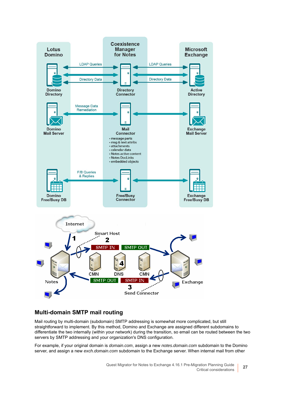

### **Multi-domain SMTP mail routing**

<span id="page-26-1"></span><span id="page-26-0"></span>Mail routing by multi-domain (subdomain) SMTP addressing is somewhat more complicated, but still straightforward to implement. By this method, Domino and Exchange are assigned different subdomains to differentiate the two internally (within your network) during the transition, so email can be routed between the two servers by SMTP addressing and your organization's DNS configuration.

For example, if your original domain is *domain.com*, assign a new *notes.domain.com* subdomain to the Domino server, and assign a new *exch.domain.com* subdomain to the Exchange server. When internal mail from other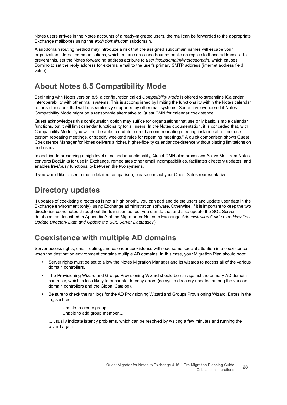Notes users arrives in the Notes accounts of already-migrated users, the mail can be forwarded to the appropriate Exchange mailboxes using the *exch.domain.co*m subdomain.

A subdomain routing method may introduce a risk that the assigned subdomain names will escape your organization internal communications, which in turn can cause bounce-backs on replies to those addresses. To prevent this, set the Notes forwarding address attribute to *user@subdomain@notesdomain*, which causes Domino to set the reply address for external email to the user's primary SMTP address (internet address field value).

### <span id="page-27-5"></span><span id="page-27-2"></span>**About Notes 8.5 Compatibility Mode**

Beginning with Notes version 8.5, a configuration called *Compatibility Mode* is offered to streamline iCalendar interoperability with other mail systems. This is accomplished by limiting the functionality within the Notes calendar to those functions that will be seamlessly supported by other mail systems. Some have wondered if Notes' Compatibility Mode might be a reasonable alternative to Quest CMN for calendar coexistence.

Quest acknowledges this configuration option may suffice for organizations that use only basic, simple calendar functions, but it will limit calendar functionality for all users. In the Notes documentation, it is conceded that, with Compatibility Mode, "you will not be able to update more than one repeating meeting instance at a time, use custom repeating meetings, or specify weekend rules for repeating meetings." A quick comparison shows Quest Coexistence Manager for Notes delivers a richer, higher-fidelity calendar coexistence without placing limitations on end users.

In addition to preserving a high level of calendar functionality, Quest CMN also processes Active Mail from Notes, converts DocLinks for use in Exchange, remediates other email incompatibilities, facilitates directory updates, and enables free/busy functionality between the two systems.

If you would like to see a more detailed comparison, please contact your Quest Sales representative.

### **Directory updates**

<span id="page-27-6"></span>If updates of coexisting directories is not a high priority, you can add and delete users and update user data in the Exchange environment (only), using Exchange administration software. Otherwise, if it is important to keep the two directories coordinated throughout the transition period, you can do that and also update the SQL Server database, as described in Appendix A of the Migrator for Notes to Exchange *Administration Guide* (see *How Do I Update Directory Data and Update the SQL Server Database?*).

### **Coexistence with multiple AD domains**

<span id="page-27-0"></span>Server access rights, email routing, and calendar coexistence will need some special attention in a coexistence when the destination environment contains multiple AD domains. In this case, your Migration Plan should note:

- <span id="page-27-4"></span><span id="page-27-3"></span><span id="page-27-1"></span>**•** Server rights must be set to allow the Notes Migration Manager and its wizards to access all of the various domain controllers.
- **•** The Provisioning Wizard and Groups Provisioning Wizard should be run against the primary AD domain controller, which is less likely to encounter latency errors (delays in directory updates among the various domain controllers and the Global Catalog).
- **•** Be sure to check the run logs for the AD Provisioning Wizard and Groups Provisioning Wizard. Errors in the log such as:

Unable to create group.... Unable to add group member....

... usually indicate latency problems, which can be resolved by waiting a few minutes and running the wizard again.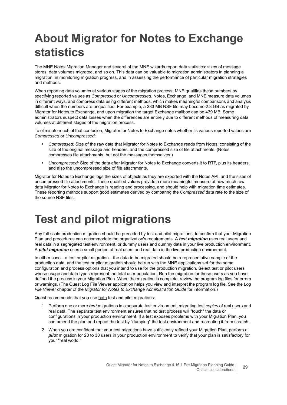# <span id="page-28-0"></span>**About Migrator for Notes to Exchange statistics**

The MNE Notes Migration Manager and several of the MNE wizards report data statistics: sizes of message stores, data volumes migrated, and so on. This data can be valuable to migration administrators in planning a migration, in monitoring migration progress, and in assessing the performance of particular migration strategies and methods.

When reporting data volumes at various stages of the migration process, MNE qualifies these numbers by specifying reported values as *Compressed* or *Uncompressed*. Notes, Exchange, and MNE measure data volumes in different ways, and compress data using different methods, which makes meaningful comparisons and analysis difficult when the numbers are unqualified. For example, a 283 MB NSF file may become 2.3 GB as migrated by Migrator for Notes to Exchange, and upon migration the target Exchange mailbox can be 439 MB. Some administrators suspect data losses when the differences are entirely due to different methods of measuring data volumes at different stages of the migration process.

To eliminate much of that confusion, Migrator for Notes to Exchange notes whether its various reported values are *Compressed* or *Uncompressed*:

- **•** *Compressed:* Size of the raw data that Migrator for Notes to Exchange reads from Notes, consisting of the size of the original message and headers, and the compressed size of file attachments. (Notes compresses file attachments, but not the messages themselves.)
- **•** *Uncompressed:* Size of the data after Migrator for Notes to Exchange converts it to RTF, plus its headers, and also the uncompressed size of file attachments.

Migrator for Notes to Exchange logs the sizes of objects as they are exported with the Notes API, and the sizes of uncompressed file attachments. These qualified values provide a more meaningful measure of how much raw data Migrator for Notes to Exchange is reading and processing, and should help with migration time estimates. These reporting methods support good estimates derived by comparing the *Compressed* data rate to the size of the source NSF files.

# <span id="page-28-1"></span>**Test and pilot migrations**

<span id="page-28-3"></span>Any full-scale production migration should be preceded by test and pilot migrations, to confirm that your Migration Plan and procedures can accommodate the organization's requirements. A *test migration* uses real users and real data in a segregated test environment, or dummy users and dummy data in your live production environment. A *pilot migration* uses a small portion of real users and real data in the live production environment.

<span id="page-28-2"></span>In either case—a test or pilot migration—the data to be migrated should be a representative sample of the production data, and the test or pilot migration should be run with the MNE applications set for the same configuration and process options that you intend to use for the production migration. Select test or pilot users whose usage and data types represent the total user population. Run the migration for those users as you have defined the process in your Migration Plan. When the migration is complete, review the program log files for errors or warnings. (The Quest Log File Viewer application helps you view and interpret the program log file. See the *Log File Viewer* chapter of the *Migrator for Notes to Exchange Administration Guide* for information.)

Quest recommends that you use both test and pilot migrations:

- 1 Perform one or more *test* migrations in a separate test environment, migrating test *copies* of real users and real data. The separate test environment ensures that no test process will "touch" the data or configurations in your production environment. If a test exposes problems with your Migration Plan, you can amend the plan and repeat the test by "dumping" the test environment and recreating it from scratch.
- 2 When you are confident that your test migrations have sufficiently refined your Migration Plan, perform a *pilot* migration for 20 to 30 users in your production environment to verify that your plan is satisfactory for your "real world."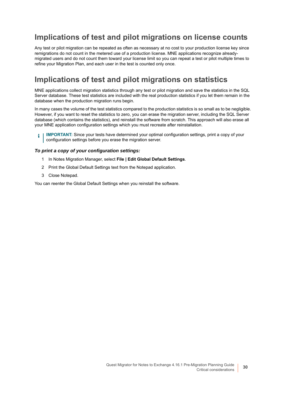### **Implications of test and pilot migrations on license counts**

Any test or pilot migration can be repeated as often as necessary at no cost to your production license key since remigrations do not count in the metered use of a production license. MNE applications recognize alreadymigrated users and do not count them toward your license limit so you can repeat a test or pilot multiple times to refine your Migration Plan, and each user in the test is counted only once.

### **Implications of test and pilot migrations on statistics**

MNE applications collect migration statistics through any test or pilot migration and save the statistics in the SQL Server database. These test statistics are included with the real production statistics if you let them remain in the database when the production migration runs begin.

In many cases the volume of the test statistics compared to the production statistics is so small as to be negligible. However, if you want to reset the statistics to zero, you can erase the migration server, including the SQL Server database (which contains the statistics), and reinstall the software from scratch. This approach will also erase all your MNE application configuration settings which you must recreate after reinstallation.

<span id="page-29-0"></span>**IMPORTANT:** Since your tests have determined your optimal configuration settings, print a copy of your configuration settings before you erase the migration server.

#### *To print a copy of your configuration settings:*

- 1 In Notes Migration Manager, select **File | Edit Global Default Settings**.
- 2 Print the Global Default Settings text from the Notepad application.
- 3 Close Notepad.

You can reenter the Global Default Settings when you reinstall the software.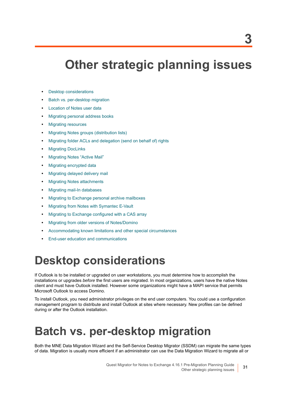- <span id="page-30-3"></span><span id="page-30-0"></span>**•** [Desktop considerations](#page-30-1)
- **•** [Batch vs. per-desktop migration](#page-30-2)
- **•** [Location of Notes user data](#page-31-0)
- **•** [Migrating personal address books](#page-32-0)
- **•** [Migrating resources](#page-32-1)
- **•** [Migrating Notes groups \(distribution lists\)](#page-34-0)
- **•** [Migrating folder ACLs and delegation \(send on behalf of\) rights](#page-35-0)
- **•** [Migrating DocLinks](#page-38-1)
- **•** [Migrating Notes "Active Mail"](#page-39-0)
- **•** [Migrating encrypted data](#page-39-1)
- **•** [Migrating delayed delivery mail](#page-41-0)
- **•** [Migrating Notes attachments](#page-41-1)
- **•** [Migrating mail-In databases](#page-42-0)
- **•** [Migrating to Exchange personal archive mailboxes](#page-42-1)
- **•** [Migrating from Notes with Symantec E-Vault](#page-43-0)
- **•** [Migrating to Exchange configured with a CAS array](#page-43-1)
- **•** [Migrating from older versions of Notes/Domino](#page-43-2)
- **•** [Accommodating known limitations and other special circumstances](#page-44-0)
- **•** [End-user education and communications](#page-44-1)

# <span id="page-30-1"></span>**Desktop considerations**

<span id="page-30-7"></span>If Outlook is to be installed or upgraded on user workstations, you must determine how to accomplish the installations or upgrades *before* the first users are migrated. In most organizations, users have the native Notes client and must have Outlook installed. However some organizations might have a MAPI service that permits Microsoft Outlook to access Domino.

<span id="page-30-4"></span>To install Outlook, you need administrator privileges on the end user computers. You could use a configuration management program to distribute and install Outlook at sites where necessary. New profiles can be defined during or after the Outlook installation.

# <span id="page-30-2"></span>**Batch vs. per-desktop migration**

<span id="page-30-6"></span><span id="page-30-5"></span>Both the MNE Data Migration Wizard and the Self-Service Desktop Migrator (SSDM) can migrate the same types of data. Migration is usually more efficient if an administrator can use the Data Migration Wizard to migrate all or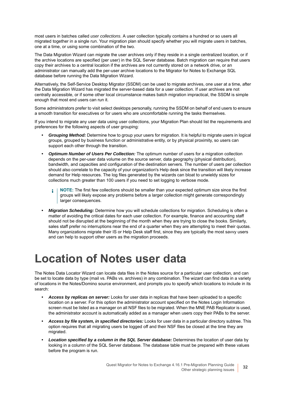most users in batches called *user collections*. A user collection typically contains a hundred or so users all migrated together in a single run. Your migration plan should specify whether you will migrate users in batches, one at a time, or using some combination of the two.

<span id="page-31-2"></span>The Data Migration Wizard can migrate the user archives only if they reside in a single centralized location, or if the archive locations are specified (per user) in the SQL Server database. Batch migration can require that users copy their archives to a central location if the archives are not currently stored on a network drive, or an administrator can manually add the per-user archive locations to the Migrator for Notes to Exchange SQL database before running the Data Migration Wizard.

Alternatively, the Self-Service Desktop Migrator (SSDM) can be used to migrate archives, one user at a time, after the Data Migration Wizard has migrated the server-based data for a user collection. If user archives are not centrally accessible, or if some other local circumstance makes batch migration impractical, the SSDM is simple enough that most end users can run it.

Some administrators prefer to visit select desktops personally, running the SSDM on behalf of end users to ensure a smooth transition for executives or for users who are uncomfortable running the tasks themselves.

If you intend to migrate any user data using user collections, your Migration Plan should list the requirements and preferences for the following aspects of user grouping:

- <span id="page-31-12"></span><span id="page-31-3"></span>**•** *Grouping Method:* Determine how to group your users for migration. It is helpful to migrate users in logical groups, grouped by business function or administrative entity, or by physical proximity, so users can support each other through the transition.
- <span id="page-31-5"></span>**•** *Optimum Number of Users Per Collection:* The optimum number of users for a migration collection depends on the per-user data volume on the source server, data geography (physical distribution), bandwidth, and capacities and configuration of the destination servers. The number of users per collection should also correlate to the capacity of your organization's Help desk since the transition will likely increase demand for Help resources. The log files generated by the wizards can bloat to unwieldy sizes for collections much greater than 100 users if you need to set logging to verbose mode.
	- **NOTE:** The first few collections should be smaller than your expected optimum size since the first i l groups will likely expose any problems before a larger collection might generate correspondingly larger consequences.
- <span id="page-31-4"></span>**•** *Migration Scheduling:* Determine how you will schedule collections for migration. Scheduling is often a matter of avoiding the critical dates for each user collection. For example, finance and accounting staff should not be disrupted at the beginning of the month when they are trying to close the books. Similarly, sales staff prefer no interruptions near the end of a quarter when they are attempting to meet their quotas. Many organizations migrate their IS or Help Desk staff first, since they are typically the most savvy users and can help to support other users as the migration proceeds.

## <span id="page-31-0"></span>**Location of Notes user data**

<span id="page-31-6"></span>The Notes Data Locator Wizard can locate data files in the Notes source for a particular user collection, and can be set to locate data by type (mail vs. PABs vs. archives) in any combination. The wizard can find data in a variety of locations in the Notes/Domino source environment, and prompts you to specify which locations to include in its search:

- <span id="page-31-11"></span><span id="page-31-9"></span><span id="page-31-8"></span><span id="page-31-1"></span>**•** *Access by replicas on server:* Looks for user data in replicas that have been uploaded to a specific location on a server. For this option the administrator account specified on the Notes Login Information screen must be listed as a manager on all NSF files to be migrated. When the MNE PAB Replicator is used, the administrator account is automatically added as a manager when users copy their PABs to the server.
- <span id="page-31-7"></span>**•** *Access by file system, in specified directories:* Looks for user data in a particular directory subtree. This option requires that all migrating users be logged off and their NSF files be closed at the time they are migrated.
- <span id="page-31-10"></span>**•** *Location specified by a column in the SQL Server database:* Determines the location of user data by looking in a column of the SQL Server database. The database table must be prepared with these values before the program is run.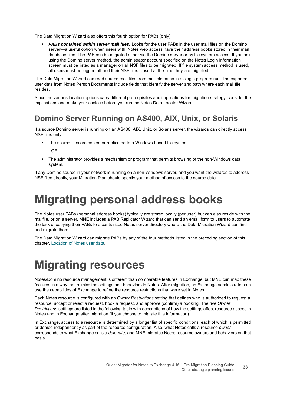The Data Migration Wizard also offers this fourth option for PABs (only):

<span id="page-32-2"></span>**•** *PABs contained within server mail files:* Looks for the user PABs in the user mail files on the Domino server—a useful option when users with iNotes web access have their address books stored in their mail database files. The PAB can be migrated either via the Domino server or by file system access. If you are using the Domino server method, the administrator account specified on the Notes Login Information screen must be listed as a manager on all NSF files to be migrated. If file system access method is used, all users must be logged off and their NSF files closed at the time they are migrated.

The Data Migration Wizard can read source mail files from multiple paths in a single program run. The exported user data from Notes Person Documents include fields that identify the server and path where each mail file resides.

Since the various location options carry different prerequisites and implications for migration strategy, consider the implications and make your choices before you run the Notes Data Locator Wizard.

### <span id="page-32-3"></span>**Domino Server Running on AS400, AIX, Unix, or Solaris**

If a source Domino server is running on an AS400, AIX, Unix, or Solaris server, the wizards can directly access NSF files only if:

**•** The source files are copied or replicated to a Windows-based file system.

 $-$  OR  $-$ 

**•** The administrator provides a mechanism or program that permits browsing of the non-Windows data system.

If any Domino source in your network is running on a non-Windows server, and you want the wizards to address NSF files directly, your Migration Plan should specify your method of access to the source data.

# <span id="page-32-0"></span>**Migrating personal address books**

<span id="page-32-4"></span>The Notes user PABs (personal address books) typically are stored locally (per user) but can also reside with the mailfile, or on a server. MNE includes a PAB Replicator Wizard that can send an email form to users to automate the task of copying their PABs to a centralized Notes server directory where the Data Migration Wizard can find and migrate them.

The Data Migration Wizard can migrate PABs by any of the four methods listed in the preceding section of this chapter, [Location of Notes user data](#page-31-0).

# <span id="page-32-1"></span>**Migrating resources**

Notes/Domino resource management is different than comparable features in Exchange, but MNE can map these features in a way that mimics the settings and behaviors in Notes. After migration, an Exchange administrator can use the capabilities of Exchange to refine the resource restrictions that were set in Notes.

Each Notes resource is configured with an *Owner Restrictions* setting that defines who is authorized to request a resource, accept or reject a request, book a request, and approve (confirm) a booking. The five *Owner Restrictions* settings are listed in the following table with descriptions of how the settings affect resource access in Notes and in Exchange after migration (if you choose to migrate this information).

In Exchange, access to a resource is determined by a longer list of specific conditions, each of which is permitted or denied independently as part of the resource configuration. Also, what Notes calls a resource *owner* corresponds to what Exchange calls a *delegate*, and MNE migrates Notes resource owners and behaviors on that basis.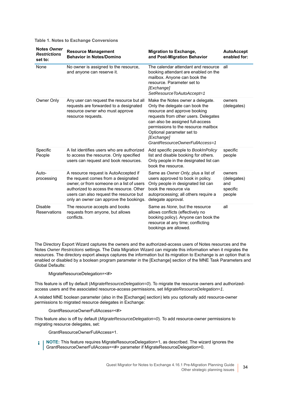#### **Table 1. Notes to Exchange Conversions**

| <b>Notes Owner</b><br><b>Restrictions</b><br>set to: | <b>Resource Management</b><br><b>Behavior in Notes/Domino</b>                                                                                                                                                                                               | <b>Migration to Exchange,</b><br>and Post-Migration Behavior                                                                                                                                                                                                                                       | <b>AutoAccept</b><br>enabled for:                  |
|------------------------------------------------------|-------------------------------------------------------------------------------------------------------------------------------------------------------------------------------------------------------------------------------------------------------------|----------------------------------------------------------------------------------------------------------------------------------------------------------------------------------------------------------------------------------------------------------------------------------------------------|----------------------------------------------------|
| None                                                 | No owner is assigned to the resource,<br>and anyone can reserve it.                                                                                                                                                                                         | The calendar attendant and resource<br>booking attendant are enabled on the<br>mailbox. Anyone can book the<br>resource. Parameter set to<br>[Exchange]<br>SetResourceToAutoAccept=1                                                                                                               | all                                                |
| Owner Only                                           | Any user can request the resource but all<br>requests are forwarded to a designated<br>resource owner who must approve<br>resource requests.                                                                                                                | Make the Notes owner a delegate.<br>Only the delegate can book the<br>resource and approve booking<br>requests from other users. Delegates<br>can also be assigned full-access<br>permissions to the resource mailbox<br>Optional parameter set to<br>[Exchange]<br>GrantResourceOwnerFullAccess=1 | owners<br>(delegates)                              |
| Specific<br>People                                   | A list identifies users who are authorized<br>to access the resource. Only specified<br>users can request and book resources.                                                                                                                               | Add specific people to BookInPolicy<br>list and disable booking for others.<br>Only people in the designated list can<br>book the resource.                                                                                                                                                        | specific<br>people                                 |
| Auto-<br>processing                                  | A resource request is AutoAccepted if<br>the request comes from a designated<br>owner, or from someone on a list of users<br>authorized to access the resource. Other<br>users can also request the resource but<br>only an owner can approve the bookings. | Same as Owner Only, plus a list of<br>users approved to book in policy.<br>Only people in designated list can<br>book the resource via<br>autoprocessing; all others require a<br>delegate approval.                                                                                               | owners<br>(delegates)<br>and<br>specific<br>people |
| <b>Disable</b><br>Reservations                       | The resource accepts and books<br>requests from anyone, but allows<br>conflicts.                                                                                                                                                                            | Same as None, but the resource<br>allows conflicts (effectively no<br>booking policy). Anyone can book the<br>resource at any time; conflicting<br>bookings are allowed.                                                                                                                           | all                                                |

The Directory Export Wizard captures the owners and the authorized-access users of Notes resources and the Notes *Owner Restrictions* settings. The Data Migration Wizard can migrate this information when it migrates the resources. The directory export always captures the information but its migration to Exchange is an option that is enabled or disabled by a boolean program parameter in the [Exchange] section of the MNE Task Parameters and Global Defaults:

#### MigrateResourceDelegation=<#>

This feature is off by default (*MigrateResourceDelegation=0*). To migrate the resource owners and authorizedaccess users and the associated resource-access permissions, set *MigrateResourceDelegation=1*.

A related MNE boolean parameter (also in the [Exchange] section) lets you optionally add resource-owner permissions to migrated resource delegates in Exchange:

#### GrantResourceOwnerFullAccess=<#>

This feature also is off by default (*MigrateResourceDelegation=0*). To add resource-owner permissions to migrating resource delegates, set:

GrantResourceOwnerFullAccess=1.

**NOTE:** This feature requires MigrateResourceDelegation=1, as described. The wizard ignores the i I GrantResourceOwnerFullAccess=<#> parameter if MigrateResourceDelegation=0.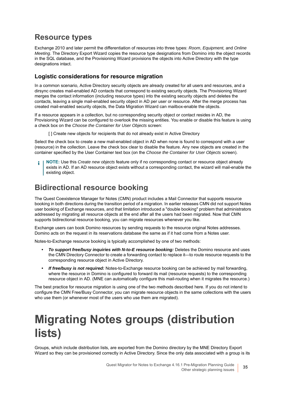### <span id="page-34-5"></span><span id="page-34-4"></span>**Resource types**

Exchange 2010 and later permit the differentiation of resources into three types: *Room*, *Equipment,* and *Online Meeting*. The Directory Export Wizard copies the resource type designations from Domino into the object records in the SQL database, and the Provisioning Wizard provisions the objects into Active Directory with the type designations intact.

### **Logistic considerations for resource migration**

In a common scenario, Active Directory security objects are already created for all users and resources, and a dirsync creates mail-enabled AD contacts that correspond to existing security objects. The Provisioning Wizard merges the contact information (including resource types) into the existing security objects and deletes the contacts, leaving a single mail-enabled security object in AD per user or resource. After the merge process has created mail-enabled security objects, the Data Migration Wizard can mailbox-enable the objects.

If a resource appears in a collection, but no corresponding security object or contact resides in AD, the Provisioning Wizard can be configured to overlook the missing entities. You enable or disable this feature is using a check box on the *Choose the Container for User Objects* screen:

[ ] Create new objects for recipients that do not already exist in Active Directory

Select the check box to create a new mail-enabled object in AD when none is found to correspond with a user (resource) in the collection. Leave the check box clear to disable the feature. Any new objects are created in the container specified by the User Container text box (on the *Choose the Container for User Objects* screen).

**NOTE:** Use this *Create new objects* feature only if no corresponding contact or resource object already exists in AD. If an AD resource object exists without a corresponding contact, the wizard will mail-enable the existing object.

### **Bidirectional resource booking**

<span id="page-34-3"></span>The Quest Coexistence Manager for Notes (CMN) product includes a Mail Connector that supports resource booking in both directions during the transition period of a migration. In earlier releases CMN did not support Notes user booking of Exchange resources, and that limitation introduced a "double booking" problem that administrators addressed by migrating all resource objects at the end after all the users had been migrated. Now that CMN supports bidirectional resource booking, you can migrate resources whenever you like.

Exchange users can book Domino resources by sending requests to the resource original Notes addresses. Domino acts on the request in its reservations database the same as if it had come from a Notes user.

Notes-to-Exchange resource booking is typically accomplished by one of two methods:

- **•** *To support free/busy inquiries with N-to-E resource booking:* Deletes the Domino resource and uses the CMN Directory Connector to create a forwarding contact to replace it—to route resource requests to the corresponding resource object in Active Directory.
- **•** *If free/busy is not required:* Notes-to-Exchange resource booking can be achieved by mail forwarding, where the resource in Domino is configured to forward its mail (resource requests) to the corresponding resource object in AD. (MNE can automatically configure this mail-routing when it migrates the resource.)

The best practice for resource migration is using one of the two methods described here. If you do not intend to configure the CMN Free/Busy Connector, you can migrate resource objects in the same collections with the users who use them (or whenever most of the users who use them are migrated).

# <span id="page-34-0"></span>**Migrating Notes groups (distribution lists)**

<span id="page-34-2"></span><span id="page-34-1"></span>Groups, which include distribution lists, are exported from the Domino directory by the MNE Directory Export Wizard so they can be provisioned correctly in Active Directory. Since the only data associated with a group is its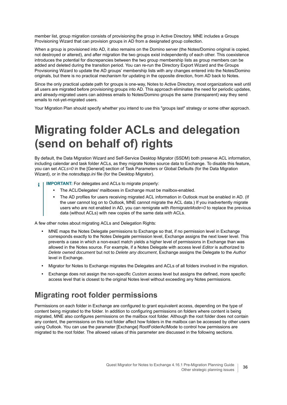<span id="page-35-4"></span><span id="page-35-3"></span>member list, group migration consists of provisioning the group in Active Directory. MNE includes a Groups Provisioning Wizard that can provision groups in AD from a designated group collection.

<span id="page-35-2"></span>When a group is provisioned into AD, it also remains on the Domino server (the Notes/Domino original is copied, not destroyed or altered), and after migration the two groups exist independently of each other. This coexistence introduces the potential for discrepancies between the two group membership lists as group members can be added and deleted during the transition period. You can re-run the Directory Export Wizard and the Groups Provisioning Wizard to update the AD groups' membership lists with any changes entered into the Notes/Domino originals, but there is no practical mechanism for updating in the opposite direction, from AD back to Notes.

Since the only practical update path for groups is one-way, Notes to Active Directory, most organizations wait until all users are migrated before provisioning groups into AD. This approach eliminates the need for periodic updates, and already-migrated users can address emails to Notes/Domino groups the same (transparent) way they send emails to not-yet-migrated users.

Your Migration Plan should specify whether you intend to use this "groups last" strategy or some other approach.

# <span id="page-35-0"></span>**Migrating folder ACLs and delegation (send on behalf of) rights**

By default, the Data Migration Wizard and Self-Service Desktop Migrator (SSDM) both preserve ACL information, including calendar and task folder ACLs, as they migrate Notes source data to Exchange. To disable this feature, you can set *ACLs=0* in the [General] section of Task Parameters or Global Defaults (for the Data Migration Wizard), or in the *notesdtapp.ini* file (for the Desktop Migrator).

- <span id="page-35-1"></span>**IMPORTANT:** For delegates and ACLs to migrate properly:
	- **•** The ACL/Delegates' mailboxes in Exchange must be mailbox-enabled.
	- **•** The AD profiles for users receiving migrated ACL information in Outlook must be enabled in AD. (If the user cannot log on to Outlook, MNE cannot migrate the ACL data.) If you inadvertently migrate users who are not enabled in AD, you can remigrate with *RemigrateMode=0* to replace the previous data (without ACLs) with new copies of the same data *with* ACLs.

A few other notes about migrating ACLs and Delegation Rights:

- **•** MNE maps the Notes Delegate permissions to Exchange so that, if no permission level in Exchange corresponds exactly to the Notes Delegate permission level, Exchange assigns the next lower level. This prevents a case in which a non-exact match yields a higher level of permissions in Exchange than was allowed in the Notes source. For example, if a Notes Delegate with access level *Editor* is authorized to *Delete owned document* but not to *Delete any document*, Exchange assigns the Delegate to the *Author* level in Exchange.
- **•** Migrator for Notes to Exchange migrates the Delegates and ACLs of all folders involved in the migration.
- **•** Exchange does not assign the non-specific *Custom* access level but assigns the defined, more specific access level that is closest to the original Notes level without exceeding any Notes permissions.

### **Migrating root folder permissions**

Permissions on each folder in Exchange are configured to grant equivalent access, depending on the type of content being migrated to the folder. In addition to configuring permissions on folders where content is being migrated, MNE also configures permissions on the mailbox root folder. Although the root folder does not contain any content, the permissions on this root folder affect how folders in the mailbox can be accessed by other users using Outlook. You can use the parameter [Exchange] RootFolderAclMode to control how permissions are migrated to the root folder. The allowed values of this parameter are discussed in the following sections.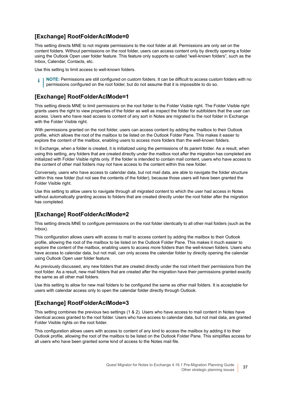### **[Exchange] RootFolderAclMode=0**

This setting directs MNE to not migrate permissions to the root folder at all. Permissions are only set on the content folders. Without permissions on the root folder, users can access content only by directly opening a folder using the Outlook Open user folder feature. This feature only supports so called "well-known folders", such as the Inbox, Calendar, Contacts, etc.

Use this setting to limit access to well-known folders.

**NOTE:** Permissions are still configured on custom folders. It can be difficult to access custom folders with no ÷ permissions configured on the root folder, but do not assume that it is impossible to do so.

### **[Exchange] RootFolderAclMode=1**

This setting directs MNE to limit permissions on the root folder to the Folder Visible right. The Folder Visible right grants users the right to view properties of the folder as well as inspect the folder for subfolders that the user can access. Users who have read access to content of any sort in Notes are migrated to the root folder in Exchange with the Folder Visible right.

With permissions granted on the root folder, users can access content by adding the mailbox to their Outlook profile, which allows the root of the mailbox to be listed on the Outlook Folder Pane. This makes it easier to explore the content of the mailbox, enabling users to access more folders than the well-known folders.

In Exchange, when a folder is created, it is initialized using the permissions of its parent folder. As a result, when using this setting, any folders that are created directly under the mailbox root after the migration has completed are initialized with Folder Visible rights only. If the folder is intended to contain mail content, users who have access to the content of other mail folders may not have access to the content within this new folder.

Conversely, users who have access to calendar data, but not mail data, are able to navigate the folder structure within this new folder (but not see the contents of the folder), because those users will have been granted the Folder Visible right.

Use this setting to allow users to navigate through all migrated content to which the user had access in Notes without automatically granting access to folders that are created directly under the root folder after the migration has completed.

### **[Exchange] RootFolderAclMode=2**

This setting directs MNE to configure permissions on the root folder identically to all other mail folders (such as the Inbox).

This configuration allows users with access to mail to access content by adding the mailbox to their Outlook profile, allowing the root of the mailbox to be listed on the Outlook Folder Pane. This makes it much easier to explore the content of the mailbox, enabling users to access more folders than the well-known folders. Users who have access to calendar data, but not mail, can only access the calendar folder by directly opening the calendar using Outlook Open user folder feature.

As previously discussed, any new folders that are created directly under the root inherit their permissions from the root folder. As a result, new mail folders that are created after the migration have their permissions granted exactly the same as all other mail folders.

Use this setting to allow for new mail folders to be configured the same as other mail folders. It is acceptable for users with calendar access only to open the calendar folder directly through Outlook.

### **[Exchange] RootFolderAclMode=3**

This setting combines the previous two settings (1 & 2). Users who have access to mail content in Notes have identical access granted to the root folder. Users who have access to calendar data, but not mail data, are granted Folder Visible rights on the root folder.

This configuration allows users with access to content of any kind to access the mailbox by adding it to their Outlook profile, allowing the root of the mailbox to be listed on the Outlook Folder Pane. This simplifies access for all users who have been granted some kind of access to the Notes mail file.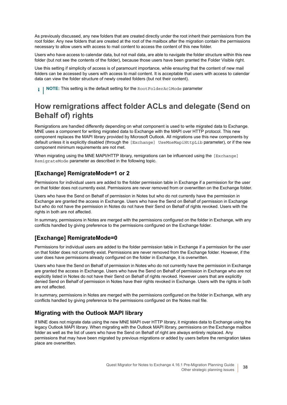As previously discussed, any new folders that are created directly under the root inherit their permissions from the root folder. Any new folders that are created at the root of the mailbox after the migration contain the permissions necessary to allow users with access to mail content to access the content of this new folder.

Users who have access to calendar data, but not mail data, are able to navigate the folder structure within this new folder (but not see the contents of the folder), because those users have been granted the Folder Visible right.

Use this setting if simplicity of access is of paramount importance, while ensuring that the content of new mail folders can be accessed by users with access to mail content. It is acceptable that users with access to calendar data can view the folder structure of newly created folders (but not their content).

**i** | NOTE: This setting is the default setting for the RootFolderAclMode parameter

### **How remigrations affect folder ACLs and delegate (Send on Behalf of) rights**

Remigrations are handled differently depending on what component is used to write migrated data to Exchange. MNE uses a component for writing migrated data to Exchange with the MAPI over HTTP protocol. This new component replaces the MAPI library provided by Microsoft Outlook. All migrations use this new components by default unless it is explicitly disabled (through the [Exchange] UseMneMapiHttpLib parameter), or if the new component minimum requirements are not met.

When migrating using the MNE MAPI/HTTP library, remigrations can be influenced using the [Exchange] RemigrateMode parameter as described in the following topic.

#### **[Exchange] RemigrateMode=1 or 2**

Permissions for individual users are added to the folder permission table in Exchange if a permission for the user on that folder does not currently exist. Permissions are never removed from or overwritten on the Exchange folder.

Users who have the Send on Behalf of permission in Notes but who do not currently have the permission in Exchange are granted the access in Exchange. Users who have the Send on Behalf of permission in Exchange but who do not have the permission in Notes do not have their Send on Behalf of rights revoked. Users with the rights in both are not affected.

In summary, permissions in Notes are merged with the permissions configured on the folder in Exchange, with any conflicts handled by giving preference to the permissions configured on the Exchange folder.

### **[Exchange] RemigrateMode=0**

Permissions for individual users are added to the folder permission table in Exchange if a permission for the user on that folder does not currently exist. Permissions are never removed from the Exchange folder. However, if the user does have permissions already configured on the folder in Exchange, it is overwritten.

Users who have the Send on Behalf of permission in Notes who do not currently have the permission in Exchange are granted the access in Exchange. Users who have the Send on Behalf of permission in Exchange who are not explicitly listed in Notes do not have their Send on Behalf of rights revoked. However users that are explicitly denied Send on Behalf of permission in Notes have their rights revoked in Exchange. Users with the rights in both are not affected.

In summary, permissions in Notes are merged with the permissions configured on the folder in Exchange, with any conflicts handled by giving preference to the permissions configured on the Notes mail file.

#### **Migrating with the Outlook MAPI library**

If MNE does not migrate data using the new MNE MAPI over HTTP library, it migrates data to Exchange using the legacy Outlook MAPI library. When migrating with the Outlook MAPI library, permissions on the Exchange mailbox folder as well as the list of users who have the Send on Behalf of right are always entirely replaced. Any permissions that may have been migrated by previous migrations or added by users before the remigration takes place are overwritten.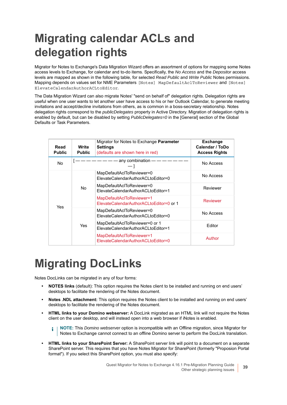# <span id="page-38-0"></span>**Migrating calendar ACLs and delegation rights**

Migrator for Notes to Exchange's Data Migration Wizard offers an assortment of options for mapping some Notes access levels to Exchange, for calendar and to-do items. Specifically, the *No Access* and the *Depositor* access levels are mapped as shown in the following table, for selected *Read Public* and *Write Public* Notes permissions. Mapping depends on values set for NME Parameters [Notes] MapDefaultAclToReviewer and [Notes] ElevateCalendarAuthorACLtoEditor.

The Data Migration Wizard can also migrate Notes' "send on behalf of" delegation rights. Delegation rights are useful when one user wants to let another user have access to his or her Outlook Calendar, to generate meeting invitations and accept/decline invitations from others, as is common in a boss-secretary relationship. Notes delegation rights correspond to the *publicDelegates* property in Active Directory. Migration of delegation rights is enabled by default, but can be disabled by setting *PublicDelegates=0* in the [General] section of the Global Defaults or Task Parameters.

<span id="page-38-2"></span>

| Read<br><b>Public</b> | Write<br><b>Public</b>    | Migrator for Notes to Exchange <b>Parameter</b><br><b>Settings</b><br>(defaults are shown here in red) | <b>Exchange</b><br>Calendar / ToDo<br><b>Access Rights</b> |
|-----------------------|---------------------------|--------------------------------------------------------------------------------------------------------|------------------------------------------------------------|
| <b>No</b>             | any combination — $\cdot$ |                                                                                                        | No Access                                                  |
| Yes                   | No.                       | MapDefaultAclToReviewer=0<br>FlevateCalendarAuthorACI toFditor=0                                       | No Access                                                  |
|                       |                           | MapDefaultAclToReviewer=0<br>FlevateCalendarAuthorACI toFditor=1                                       | Reviewer                                                   |
|                       |                           | MapDefaultAclToReviewer=1<br>FlevateCalendarAuthorACI toFditor=0 or 1                                  | <b>Reviewer</b>                                            |
|                       | <b>Yes</b>                | MapDefaultAclToReviewer=0<br>FlevateCalendarAuthorACI toFditor=0                                       | No Access                                                  |
|                       |                           | MapDefaultAclToReviewer=0 or 1<br>FlevateCalendarAuthorACI toFditor=1                                  | Fditor                                                     |
|                       |                           | MapDefaultAclToReviewer=1<br>ElevateCalendarAuthorACLtoEditor=0                                        | Author                                                     |

# <span id="page-38-1"></span>**Migrating DocLinks**

Notes DocLinks can be migrated in any of four forms:

- <span id="page-38-3"></span>**• NOTES links** (default): This option requires the Notes client to be installed and running on end users' desktops to facilitate the rendering of the Notes document.
- <span id="page-38-5"></span>**• Notes .NDL attachment:** This option requires the Notes client to be installed and running on end users' desktops to facilitate the rendering of the Notes document.
- <span id="page-38-4"></span>**• HTML links to your Domino webserver:** A DocLink migrated as an HTML link will not require the Notes client on the user desktop, and will instead open into a web browser if iNotes is enabled.

<span id="page-38-6"></span>**NOTE:** This *Domino webserver* option is incompatible with an Offline migration, since Migrator for i Notes to Exchange cannot connect to an offline Domino server to perform the DocLink translation.

**• HTML links to your SharePoint Server:** A SharePoint server link will point to a document on a separate SharePoint server. This requires that you have Notes Migrator for SharePoint (formerly "Proposion Portal format"). If you select this SharePoint option, you must also specify: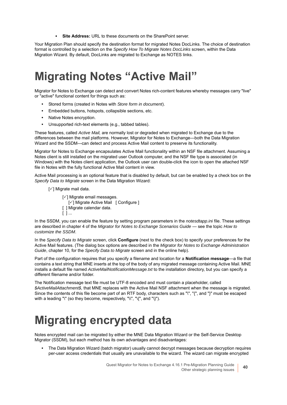<span id="page-39-2"></span>**▪ Site Address:** URL to these documents on the SharePoint server.

Your Migration Plan should specify the destination format for migrated Notes DocLinks. The choice of destination format is controlled by a selection on the *Specify How To Migrate Notes DocLinks* screen, within the Data Migration Wizard. By default, DocLinks are migrated to Exchange as NOTES links.

# <span id="page-39-0"></span>**Migrating Notes "Active Mail"**

Migrator for Notes to Exchange can detect and convert Notes rich-content features whereby messages carry "live" or "active" functional content for things such as:

- **•** Stored forms (created in Notes with *Store form in document*).
- **•** Embedded buttons, hotspots, collapsible sections, etc.
- **•** Native Notes encryption.
- **•** Unsupported rich-text elements (e.g., tabbed tables).

These features, called *Active Mail,* are normally lost or degraded when migrated to Exchange due to the differences between the mail platforms. However, Migrator for Notes to Exchange—both the Data Migration Wizard and the SSDM—can detect and process Active Mail content to preserve its functionality.

Migrator for Notes to Exchange encapsulates Active Mail functionality within an NSF file attachment. Assuming a Notes client is still installed on the migrated user Outlook computer, and the NSF file type is associated (in Windows) with the Notes client application, the Outlook user can double-click the icon to open the attached NSF file in Notes with the fully functional Active Mail content in view.

Active Mail processing is an optional feature that is disabled by default, but can be enabled by a check box on the *Specify Data to Migrate* screen in the Data Migration Wizard:

[ $\checkmark$ ] Migrate mail data.

[ $\sqrt{}$ ] Migrate email messages. [ $\sqrt{}$ ] Migrate Active Mail [ Configure ] [ ] Migrate calendar data. [ ] ...

In the SSDM, you can enable the feature by setting program parameters in the *notesdtapp.ini* file. These settings are described in chapter 4 of the *Migrator for Notes to Exchange Scenarios Guide* — see the topic *How to customize the SSDM*.

In the *Specify Data to Migrate* screen, click **Configure** (next to the check box) to specify your preferences for the Active Mail features. (The dialog box options are described in the *Migrator for Notes to Exchange Administration Guide*, chapter 10, for the *Specify Data to Migrate* screen and in the online help).

Part of the configuration requires that you specify a filename and location for a **Notification message**—a file that contains a text string that MNE inserts at the top of the body of any migrated message containing Active Mail. MNE installs a default file named *ActiveMailNotificationMessage.txt* to the installation directory, but you can specify a different filename and/or folder.

The Notification message text file must be UTF-8 encoded and must contain a placeholder, called *\$ActiveMailAttachment\$*, that MNE replaces with the Active Mail NSF attachment when the message is migrated. Since the contents of this file become part of an RTF body, characters such as "\", "{", and "}" must be escaped with a leading "\" (so they become, respectively, "\\", "\{", and "\}").

# <span id="page-39-1"></span>**Migrating encrypted data**

<span id="page-39-3"></span>Notes encrypted mail can be migrated by either the MNE Data Migration Wizard or the Self-Service Desktop Migrator (SSDM), but each method has its own advantages and disadvantages:

**•** The Data Migration Wizard (batch migrator) usually cannot decrypt messages because decryption requires per-user access credentials that usually are unavailable to the wizard. The wizard can migrate encrypted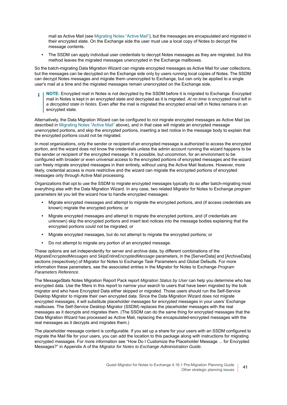mail as Active Mail (see [Migrating Notes "Active Mail"](#page-39-0)), but the messages are encapsulated and migrated in their encrypted state. On the Exchange side the user must use a local copy of Notes to decrypt the message contents.

**•** The SSDM can apply individual user credentials to decrypt Notes messages as they are migrated, but this method leaves the migrated messages unencrypted in the Exchange mailboxes.

So the batch-migrating Data Migration Wizard can migrate encrypted messages as Active Mail for user collections, but the messages can be decrypted on the Exchange side only by users running local copies of Notes. The SSDM can decrypt Notes messages and migrate them unencrypted to Exchange, but can only be applied to a single user's mail at a time and the migrated messages remain unencrypted on the Exchange side.

**NOTE:** Encrypted mail in Notes is not decrypted by the SSDM before it is migrated to Exchange. Encrypted f. mail in Notes is kept in an encrypted state and decrypted as it is migrated. *At no time is encrypted mail left in a decrypted state in Notes.* Even after the mail is migrated the encrypted email left in Notes remains in an encrypted state.

Alternatively, the Data Migration Wizard can be configured to *not* migrate encrypted messages as Active Mail (as described in [Migrating Notes "Active Mail"](#page-39-0) above), and in that case will migrate an encrypted message unencrypted portions, and skip the encrypted portions, inserting a text notice in the message body to explain that the encrypted portions could not be migrated.

In most organizations, only the sender or recipient of an encrypted message is authorized to access the encrypted portion, and the wizard does not know the credentials unless the admin account running the wizard happens to be the sender or recipient of the encrypted message. It is possible, but uncommon, for an environment to be configured with broader or even universal access to the encrypted portions of encrypted messages and the wizard can freely migrate encrypted messages in their entirety, without using the Active Mail features. However, more likely, credential access is more restrictive and the wizard can migrate the encrypted portions of encrypted messages only through Active Mail processing.

Organizations that opt to use the SSDM to migrate encrypted messages typically do so after batch-migrating most everything else with the Data Migration Wizard. In any case, two related Migrator for Notes to Exchange program parameters let you tell the wizard how to handle encrypted messages:

- **•** Migrate encrypted messages and attempt to migrate the encrypted portions, and (if access credentials are known) migrate the encrypted portions; or
- **•** Migrate encrypted messages and attempt to migrate the encrypted portions, and (if credentials are unknown) skip the encrypted portions and insert text notices into the message bodies explaining that the encrypted portions could not be migrated; or
- **•** Migrate encrypted messages, but do not attempt to migrate the encrypted portions; or
- <span id="page-40-0"></span>**•** Do not attempt to migrate any portion of an encrypted message.

These options are set independently for server and archive data, by different combinations of the *MigrateEncryptedMessages* and *SkipEntireEncryptedMessage* parameters, in the [ServerData] and [ArchiveData] sections (respectively) of Migrator for Notes to Exchange Task Parameters and Global Defaults. For more information these parameters, see the associated entries in the Migrator for Notes to Exchange *Program Parameters Reference*.

<span id="page-40-1"></span>The MessageStats Notes Migration Report Pack report *Migration Status by User* can help you determine who has encrypted data. Use the filters in this report to narrow your search to users that have been migrated by the bulk migrator and who have Encrypted Data either skipped or migrated. Those users should run the Self-Service Desktop Migrator to migrate their own encrypted data. Since the Data Migration Wizard does not migrate encrypted messages, it will substitute placeholder messages for encrypted messages in your users' Exchange mailboxes. The Self-Service Desktop Migrator (SSDM) replaces the placeholder messages with the real messages as it decrypts and migrates them. (The SSDM can do the same thing for encrypted messages that the Data Migration Wizard has processed as Active Mail, replacing the encapsulated-encrypted messages with the real messages as it decrypts and migrates them.)

The placeholder message content is configurable. If you set up a share for your users with an SSDM configured to migrate the Mail file for your users, you can add the location to this package along with instructions for migrating encrypted messages. For more information see "How Do I Customize the Placeholder Message ... for Encrypted Messages?" in Appendix A of the *Migrator for Notes to Exchange Administration Guide.*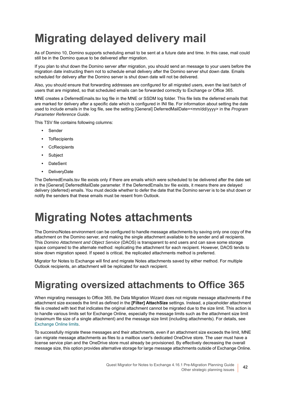# <span id="page-41-4"></span><span id="page-41-0"></span>**Migrating delayed delivery mail**

As of Domino 10, Domino supports scheduling email to be sent at a future date and time. In this case, mail could still be in the Domino queue to be delivered after migration.

If you plan to shut down the Domino server after migration, you should send an message to your users before the migration date instructing them not to schedule email delivery after the Domino server shut down date. Emails scheduled for delivery after the Domino server is shut down date will not be delivered.

Also, you should ensure that forwarding addresses are configured for all migrated users, even the last batch of users that are migrated, so that scheduled emails can be forwarded correctly to Exchange or Office 365.

MNE creates a DeferredEmails.tsv log file in the MNE or SSDM log folder. This file lists the deferred emails that are marked for delivery after a specific date which is configured in INI file. For information about setting the date used to include emails in the log file, see the setting [General] DeferredMailDate=<mm/dd/yyyy> in the *Program Parameter Reference Guide*.

This TSV file contains following columns:

- **•** Sender
- **•** ToRecipients
- **•** CcRecipients
- **•** Subject
- **•** DateSent
- **•** DeliveryDate

The DeferredEmails.tsv file exists only if there are emails which were scheduled to be delivered after the date set in the [General] DeferredMailDate parameter. If the DeferredEmails.tsv file exists, it means there are delayed delivery (deferred) emails. You must decide whether to defer the date that the Domino server is to be shut down or notify the senders that these emails must be resent from Outlook.

## <span id="page-41-1"></span>**Migrating Notes attachments**

<span id="page-41-5"></span><span id="page-41-3"></span>The Domino/Notes environment can be configured to handle message attachments by saving only one copy of the attachment on the Domino server, and making the single attachment available to the sender and all recipients. This *Domino Attachment and Object Service* (DAOS) is transparent to end users and can save some storage space compared to the alternate method: replicating the attachment for each recipient. However, DAOS tends to slow down migration speed. If speed is critical, the replicated attachments method is preferred.

Migrator for Notes to Exchange will find and migrate Notes attachments saved by either method. For multiple Outlook recipients, an attachment will be replicated for each recipient.

## <span id="page-41-2"></span>**Migrating oversized attachments to Office 365**

When migrating messages to Office 365, the Data Migration Wizard does not migrate message attachments if the attachment size exceeds the limit as defined in the **[Filter] AttachSize** settings. Instead, a placeholder attachment file is created with text that indicates the original attachment cannot be migrated due to the size limit. This action is to handle various limits set for Exchange Online, especially the message limits such as the attachment size limit (maximum file size of a single attachment) and the message size limit (including attachments). For details, see [Exchange Online limits](https://docs.microsoft.com/en-us/office365/servicedescriptions/exchange-online-service-description/exchange-online-limits#message-limits).

To successfully migrate these messages and their attachments, even if an attachment size exceeds the limit, MNE can migrate message attachments as files to a mailbox user's dedicated OneDrive store. The user must have a license service plan and the OneDrive store must already be provisioned. By effectively decreasing the overall message size, this option provides alternative storage for large message attachments outside of Exchange Online.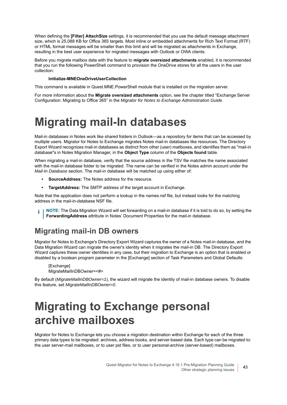When defining the **[Filter] AttachSize** settings, it is recommended that you use the default message attachment size, which is 25,088 KB for Office 365 targets. Most inline or embedded attachments for Rich Text Format (RTF) or HTML format messages will be smaller than this limit and will be migrated as attachments in Exchange, resulting in the best user experience for migrated messages with Outlook or OWA clients.

Before you migrate mailbox data with the feature to **migrate oversized attachments** enabled, it is recommended that you run the following PowerShell command to provision the OneDrive stores for all the users in the user collection:

#### <span id="page-42-2"></span>**Initialize-MNEOneDriveUserCollection**

This command is available in Quest.MNE.PowerShell module that is installed on the migration server.

For more information about the **Migrate oversized attachments** option, see the chapter titled "Exchange Server Configuration: Migrating to Office 365" in the *Migrator for Notes to Exchange Administration Guide*.

## <span id="page-42-0"></span>**Migrating mail-In databases**

Mail-in databases in Notes work like shared folders in Outlook—as a repository for items that can be accessed by multiple users. Migrator for Notes to Exchange migrates Notes mail-in databases like resources. The Directory Export Wizard recognizes mail-in databases as distinct from other (user) mailboxes, and identifies them as "mail-in database"s in Notes Migration Manager, in the **Object Type** column of the **Objects found** table.

When migrating a mail-in database, verify that the source address in the TSV file matches the name associated with the mail-in database folder to be migrated. The name can be verified in the Notes admin account under the *Mail-In Database* section. The mail-in database will be matched up using either of:

- **SourceAddress:** The Notes address for the resource.
- **TargetAddress:** The SMTP address of the target account in Exchange.

Note that the application does not perform a lookup in the names.nsf file, but instead looks for the matching address in the mail-in-database NSF file.

**NOTE:** The Data Migration Wizard will set forwarding on a mail-in database if it is told to do so, by setting the ÷ **ForwardingAddress** attribute in Notes' Document Properties for the mail-in database.

### **Migrating mail-in DB owners**

Migrator for Notes to Exchange's Directory Export Wizard captures the owner of a Notes mail-in database, and the Data Migration Wizard can migrate the owner's identity when it migrates the mail-in DB. The Directory Export Wizard captures these owner identities in any case, but their migration to Exchange is an option that is enabled or disabled by a boolean program parameter in the [Exchange] section of Task Parameters and Global Defaults:

[Exchange] MigrateMailInDBOwner=<#>

By default (*MigrateMailInDBOwner=1*), the wizard will migrate the identity of mail-in database owners. To disable this feature, set *MigrateMailInDBOwner=0*.

# <span id="page-42-1"></span>**Migrating to Exchange personal archive mailboxes**

Migrator for Notes to Exchange lets you choose a migration destination within Exchange for each of the three primary data types to be migrated: archives, address books, and server-based data. Each type can be migrated to: the user server-mail mailboxes, or to user pst files, or to user personal-archive (server-based) mailboxes.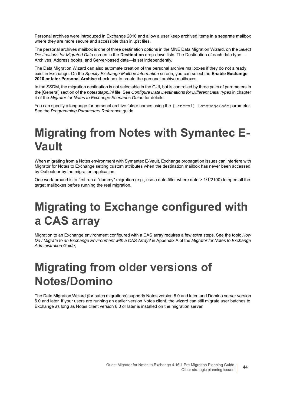<span id="page-43-5"></span>Personal archives were introduced in Exchange 2010 and allow a user keep archived items in a separate mailbox where they are more secure and accessible than in .pst files.

The personal archives mailbox is one of three destination options in the MNE Data Migration Wizard, on the *Select Destinations for Migrated Data* screen in the **Destination** drop-down lists. The Destination of each data type— Archives, Address books, and Server-based data—is set independently.

The Data Migration Wizard can also automate creation of the personal archive mailboxes if they do not already exist in Exchange. On the *Specify Exchange Mailbox Information* screen, you can select the **Enable Exchange 2010 or later Personal Archive** check box to create the personal archive mailboxes.

In the SSDM, the migration destination is not selectable in the GUI, but is controlled by three pairs of parameters in the [General] section of the *notesdtapp.ini* file. See *Configure Data Destinations for Different Data Types* in chapter 4 of the *Migrator for Notes to Exchange Scenarios Guide* for details.

You can specify a language for personal archive folder names using the [General] LanguageCode parameter. See the *Programming Parameters Reference* guide.

# <span id="page-43-0"></span>**Migrating from Notes with Symantec E-Vault**

<span id="page-43-4"></span>When migrating from a Notes environment with Symantec E-Vault, Exchange propagation issues can interfere with Migrator for Notes to Exchange setting custom attributes when the destination mailbox has never been accessed by Outlook or by the migration application.

One work-around is to first run a "dummy" migration (e.g., use a date filter where date > 1/1/2100) to open all the target mailboxes before running the real migration.

# <span id="page-43-1"></span>**Migrating to Exchange configured with a CAS array**

<span id="page-43-3"></span>Migration to an Exchange environment configured with a CAS array requires a few extra steps. See the topic *How Do I Migrate to an Exchange Environment with a CAS Array?* in Appendix A of the *Migrator for Notes to Exchange Administration Guide*,

# <span id="page-43-2"></span>**Migrating from older versions of Notes/Domino**

<span id="page-43-6"></span>The Data Migration Wizard (for batch migrations) supports Notes version 6.0 and later, and Domino server version 6.0 and later. If your users are running an earlier version Notes client, the wizard can still migrate user batches to Exchange as long as Notes client version 6.0 or later is installed on the migration server.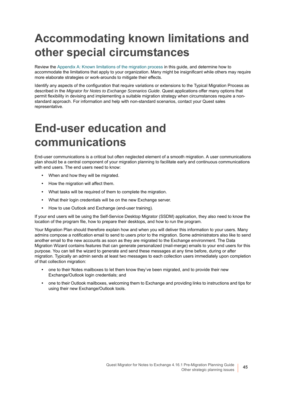# <span id="page-44-0"></span>**Accommodating known limitations and other special circumstances**

<span id="page-44-3"></span>Review the [Appendix A: Known limitations of the migration process](#page-46-3) in this guide, and determine how to accommodate the limitations that apply to your organization. Many might be insignificant while others may require more elaborate strategies or work-arounds to mitigate their effects.

Identify any aspects of the configuration that require variations or extensions to the Typical Migration Process as described in the *Migrator for Notes to Exchange Scenarios Guide*. Quest applications offer many options that permit flexibility in devising and implementing a suitable migration strategy when circumstances require a nonstandard approach. For information and help with non-standard scenarios, contact your Quest sales representative.

# <span id="page-44-1"></span>**End-user education and communications**

End-user communications is a critical but often neglected element of a smooth migration. A user communications plan should be a central component of your migration planning to facilitate early and continuous communications with end users. The end users need to know:

- <span id="page-44-2"></span>**•** When and how they will be migrated.
- **•** How the migration will affect them.
- **•** What tasks will be required of them to complete the migration.
- **•** What their login credentials will be on the new Exchange server.
- **•** How to use Outlook and Exchange (end-user training).

If your end users will be using the Self-Service Desktop Migrator (SSDM) application, they also need to know the location of the program file, how to prepare their desktops, and how to run the program.

<span id="page-44-5"></span>Your Migration Plan should therefore explain how and when you will deliver this information to your users. Many admins compose a notification email to send to users prior to the migration. Some administrators also like to send another email to the new accounts as soon as they are migrated to the Exchange environment. The Data Migration Wizard contains features that can generate personalized (mail-merge) emails to your end users for this purpose. You can tell the wizard to generate and send these messages at any time before, during or after migration. Typically an admin sends at least two messages to each collection users immediately upon completion of that collection migration:

- <span id="page-44-4"></span>**•** one to their Notes mailboxes to let them know they've been migrated, and to provide their new Exchange/Outlook login credentials; and
- **•** one to their Outlook mailboxes, welcoming them to Exchange and providing links to instructions and tips for using their new Exchange/Outlook tools.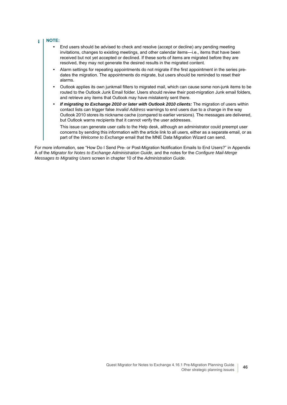#### **NOTE:**  ÷

- <span id="page-45-1"></span>**•** End users should be advised to check and resolve (accept or decline) any pending meeting invitations, changes to existing meetings, and other calendar items—i.e., items that have been received but not yet accepted or declined. If these sorts of items are migrated before they are resolved, they may not generate the desired results in the migrated content.
- <span id="page-45-0"></span>**•** Alarm settings for repeating appointments do not migrate if the first appointment in the series predates the migration. The appointments do migrate, but users should be reminded to reset their alarms.
- <span id="page-45-3"></span>**•** Outlook applies its own junkmail filters to migrated mail, which can cause some non-junk items to be routed to the Outlook Junk Email folder. Users should review their post-migration Junk email folders, and retrieve any items that Outlook may have mistakenly sent there.
- **•** *If migrating to Exchange 2010 or later with Outlook 2010 clients:* The migration of users within contact lists can trigger false *Invalid Address* warnings to end users due to a change in the way Outlook 2010 stores its nickname cache (compared to earlier versions). The messages are delivered, but Outlook warns recipients that it cannot verify the user addresses.

<span id="page-45-2"></span>This issue can generate user calls to the Help desk, although an administrator could preempt user concerns by sending this information with the article link to all users, either as a separate email, or as part of the *Welcome to Exchange* email that the MNE Data Migration Wizard can send.

For more information, see "How Do I Send Pre- or Post-Migration Notification Emails to End Users?" in Appendix A of the *Migrator for Notes to Exchange Administration Guide,* and the notes for the *Configure Mail-Merge Messages to Migrating Users* screen in chapter 10 of the *Administration Guide*.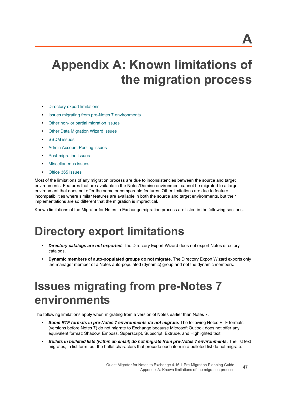# <span id="page-46-3"></span><span id="page-46-0"></span>**Appendix A: Known limitations of the migration process**

**A**

- **[Directory export limitations](#page-46-1)**
- **•** [Issues migrating from pre-Notes 7 environments](#page-46-2)
- **•** [Other non- or partial migration issues](#page-47-0)
- **•** [Other Data Migration Wizard issues](#page-49-0)
- **•** [SSDM issues](#page-49-1)
- **•** [Admin Account Pooling issues](#page-50-0)
- **•** [Post-migration issues](#page-50-1)
- **•** [Miscellaneous issues](#page-51-0)
- <span id="page-46-8"></span>**•** [Office 365 issues](#page-51-1)

Most of the limitations of any migration process are due to inconsistencies between the source and target environments. Features that are available in the Notes/Domino environment cannot be migrated to a target environment that does not offer the same or comparable features. Other limitations are due to feature incompatibilities where similar features are available in both the source and target environments, but their implementations are so different that the migration is impractical.

Known limitations of the Migrator for Notes to Exchange migration process are listed in the following sections.

# <span id="page-46-1"></span>**Directory export limitations**

- <span id="page-46-6"></span>**•** *Directory catalogs are not exported.* The Directory Export Wizard does not export Notes directory catalogs.
- <span id="page-46-4"></span>**• Dynamic members of auto-populated groups do not migrate.** The Directory Export Wizard exports only the manager member of a Notes auto-populated (dynamic) group and not the dynamic members.

# <span id="page-46-2"></span>**Issues migrating from pre-Notes 7 environments**

The following limitations apply when migrating from a version of Notes earlier than Notes 7.

- <span id="page-46-9"></span><span id="page-46-7"></span>**•** *Some RTF formats in pre-Notes 7 environments do not migrate.* The following Notes RTF formats (versions before Notes 7) do not migrate to Exchange because Microsoft Outlook does not offer any equivalent format: Shadow, Emboss, Superscript, Subscript, Extrude, and Highlighted text.
- <span id="page-46-5"></span>**•** *Bullets in bulleted lists (within an email) do not migrate from pre-Notes 7 environments.* The list text migrates, in list form, but the bullet characters that precede each item in a bulleted list do not migrate.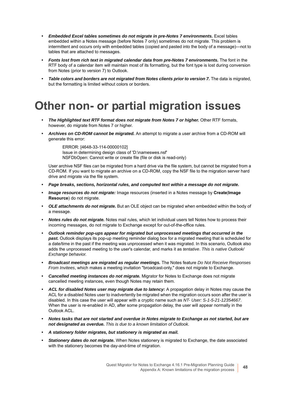- **•** *Embedded Excel tables sometimes do not migrate in pre-Notes 7 environments.* Excel tables embedded within a Notes message (before Notes 7 only) sometimes do not migrate. This problem is intermittent and occurs only with embedded tables (copied and pasted into the body of a message)—not to tables that are attached to messages.
- <span id="page-47-11"></span>**•** *Fonts lost from rich text in migrated calendar data from pre-Notes 7 environments.* The font in the RTF body of a calendar item will maintain most of its formatting, but the font type is lost during conversion from Notes (prior to version 7) to Outlook.
- <span id="page-47-15"></span>**•** *Table colors and borders are not migrated from Notes clients prior to version 7.* The data is migrated, but the formatting is limited without colors or borders.

# <span id="page-47-0"></span>**Other non- or partial migration issues**

- <span id="page-47-5"></span>**•** *The Highlighted text RTF format does not migrate from Notes 7 or higher.* Other RTF formats, however, do migrate from Notes 7 or higher.
- <span id="page-47-2"></span>**•** *Archives on CD-ROM cannot be migrated.* An attempt to migrate a user archive from a CD-ROM will generate this error:

<span id="page-47-12"></span><span id="page-47-6"></span><span id="page-47-4"></span>ERROR: [4648-33-114-00000102] Issue in determining design class of 'D:\nameswes.nsf' NSFDbOpen: Cannot write or create file (file or disk is read-only)

<span id="page-47-13"></span>User archive NSF files *can* be migrated from a hard drive via the file system, but cannot be migrated from a CD-ROM. If you want to migrate an archive on a CD-ROM, copy the NSF file to the migration server hard drive and migrate via the file system.

- <span id="page-47-10"></span>**•** *Page breaks, sections, horizontal rules, and computed text within a message do not migrate.*
- <span id="page-47-7"></span>**•** *Image resources do not migrate:* Image resources (inserted in a Notes message by **Create**|**Image Resource**) do not migrate.
- <span id="page-47-9"></span>**•** *OLE attachments do not migrate.* But an OLE object can be migrated when embedded within the body of a message.
- <span id="page-47-8"></span>**•** *Notes rules do not migrate.* Notes mail rules, which let individual users tell Notes how to process their incoming messages, do not migrate to Exchange except for out-of-the-office rules.
- **•** *Outlook reminder pop-ups appear for migrated but unprocessed meetings that occurred in the past.* Outlook displays its pop-up meeting reminder dialog box for a migrated meeting that is scheduled for a date/time in the past if the meeting was unprocessed when it was migrated. In this scenario, Outlook also adds the unprocessed meeting to the user's calendar, and marks it as *tentative*. *This is native Outlook/ Exchange behavior.*
- <span id="page-47-3"></span>**•** *Broadcast meetings are migrated as regular meetings.* The Notes feature *Do Not Receive Responses From Invitees*, which makes a meeting invitation "broadcast-only," does not migrate to Exchange.
- **•** *Cancelled meeting instances do not migrate.* Migrator for Notes to Exchange does not migrate cancelled meeting instances, even though Notes may retain them.
- <span id="page-47-1"></span>**•** *ACL for disabled Notes user may migrate due to latency:* A propagation delay in Notes may cause the ACL for a disabled Notes user to inadvertently be migrated when the migration occurs soon after the user is disabled. In this case the user will appear with a cryptic name such as *NT- User: S-1-5-21-12354667*. When the user is re-enabled in AD, after some propagation delay, the user will appear normally in the Outlook ACL.
- <span id="page-47-16"></span>**•** *Notes tasks that are not started and overdue in Notes migrate to Exchange as not started, but are not designated as overdue. This is due to a known limitation of Outlook.*
- <span id="page-47-14"></span>**•** *A stationery folder migrates, but stationery is migrated as mail.*
- **•** *Stationery dates do not migrate.* When Notes stationery is migrated to Exchange, the date associated with the stationery becomes the day-and-time of migration.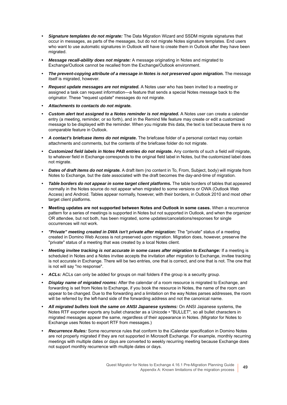- <span id="page-48-7"></span>**•** *Signature templates do not migrate:* The Data Migration Wizard and SSDM migrate signatures that occur in messages, as parts of the messages, but do not migrate Notes signature templates. End users who want to use automatic signatures in Outlook will have to create them in Outlook after they have been migrated.
- **•** *Message recall-ability does not migrate:* A message originating in Notes and migrated to Exchange/Outlook cannot be recalled from the Exchange/Outlook environment.
- <span id="page-48-5"></span>**•** *The prevent-copying attribute of a message in Notes is not preserved upon migration.* The message itself is migrated, however.
- <span id="page-48-6"></span>**•** *Request update messages are not migrated.* A Notes user who has been invited to a meeting or assigned a task can request information—a feature that sends a special Notes message back to the originator. These "request update" messages do not migrate.
- <span id="page-48-0"></span>**•** *Attachments to contacts do not migrate.*
- <span id="page-48-2"></span>**•** *Custom alert text assigned to a Notes reminder is not migrated.* A Notes user can create a calendar entry (a meeting, reminder, or so forth), and in the Remind Me feature may create or edit a customized message to be displayed with the reminder. When you migrate this data, the text is lost because there is no comparable feature in Outlook.
- <span id="page-48-1"></span>**•** *A contact's briefcase items do not migrate.* The briefcase folder of a personal contact may contain attachments and comments, but the contents of the briefcase folder do not migrate.
- <span id="page-48-3"></span>**•** *Customized field labels in Notes PAB entries do not migrate.* Any contents of such a field *will* migrate, to whatever field in Exchange corresponds to the original field label in Notes, but the customized label does not migrate.
- <span id="page-48-4"></span>**•** *Dates of draft items do not migrate.* A draft item (no content in To, From, Subject, body) will migrate from Notes to Exchange, but the date associated with the draft becomes the day-and-time of migration.
- **•** *Table borders do not appear in some target client platforms.* The table borders of tables that appeared normally in the Notes source do not appear when migrated to some versions or OWA (Outlook Web Access) and Android. Tables appear normally, however, with their borders, in Outlook 2010 and most other target client platforms.
- **Meeting updates are not supported between Notes and Outlook in some cases.** When a recurrence pattern for a series of meetings is supported in Notes but not supported in Outlook, and when the organizer OR attendee, but not both, has been migrated, some updates/cancelations/responses for single occurrences will not work.
- **•** *"Private" meeting created in DWA isn't private after migration:* The "private" status of a meeting created in Domino Web Access is not preserved upon migration. Migration does, however, preserve the "private" status of a meeting that was created by a local Notes client.
- **•** *Meeting invitee tracking is not accurate in some cases after migration to Exchange:* If a meeting is scheduled in Notes and a Notes invitee accepts the invitation after migration to Exchange, invitee tracking is not accurate in Exchange. There will be two entries, one that is correct, and one that is not. The one that is not will say "no response".
- **•** *ACLs:* ACLs can only be added for groups on mail folders if the group is a security group.
- **•** *Display name of migrated rooms:* After the calendar of a room resource is migrated to Exchange, and forwarding is set from Notes to Exchange, if you book the resource in Notes, the name of the room can appear to be changed. Due to the forwarding and a limitation on the way Notes parses addresses, the room will be referred by the left-hand side of the forwarding address and not the canonical name.
- **•** *All migrated bullets look the same on ANSI Japanese systems:* On ANSI Japanese systems, the Notes RTF exporter exports any bullet character as a Unicode • "BULLET", so all bullet characters in migrated messages appear the same, regardless of their appearance in Notes. (Migrator for Notes to Exchange uses Notes to export RTF from messages.)
- **•** *Recurrence Rules:* Some recurrence rules that conform to the iCalendar specification in Domino Notes are not properly migrated if they are not supported in Microsoft Exchange. For example, monthly recurring meetings with multiple dates or days are converted to weekly recurring meeting because Exchange does not support monthly recurrence with multiple dates or days.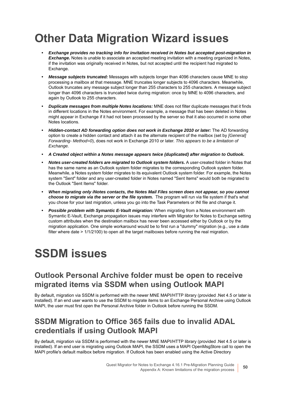# <span id="page-49-0"></span>**Other Data Migration Wizard issues**

- **•** *Exchange provides no tracking info for invitation received in Notes but accepted post-migration in Exchange.* Notes is unable to associate an accepted meeting invitation with a meeting organized in Notes, if the invitation was originally received in Notes, but not accepted until the recipient had migrated to Exchange.
- <span id="page-49-6"></span>**•** *Message subjects truncated:* Messages with subjects longer than 4096 characters cause MNE to stop processing a mailbox at that message. MNE truncates longer subjects to 4096 characters. Meanwhile, Outlook truncates any message subject longer than 255 characters to 255 characters. A message subject longer than 4096 characters is truncated twice during migration: once by MNE to 4096 characters, and again by Outlook to 255 characters.
- <span id="page-49-3"></span>**•** *Duplicate messages from multiple Notes locations:* MNE does not filter duplicate messages that it finds in different locations in the Notes environment. For example, a message that has been deleted in Notes might appear in Exchange if it had not been processed by the server so that it also occurred in some other Notes locations.
- **•** *Hidden-contact AD forwarding option does not work in Exchange 2010 or later:* The AD forwarding option to create a hidden contact and attach it as the alternate recipient of the mailbox (set by *[General] Forwarding- Method=0*), does not work in Exchange 2010 or later. *This appears to be a limitation of Exchange.*
- <span id="page-49-2"></span>**•** *A Created object within a Notes message appears twice (duplicated) after migration to Outlook.*
- <span id="page-49-7"></span>**•** *Notes user-created folders are migrated to Outlook system folders.* A user-created folder in Notes that has the same name as an Outlook system folder migrates to the corresponding Outlook system folder. Meanwhile, a Notes system folder migrates to its equivalent Outlook system folder. For example, the Notes system "Sent" folder and any user-created folder in Notes named "Sent Items" would both be migrated to the Outlook "Sent Items" folder.
- <span id="page-49-5"></span>**•** *When migrating only iNotes contacts, the Notes Mail Files screen does not appear, so you cannot choose to migrate via the server or the file system.* The program will run via file system if that's what you chose for your last migration, unless you go into the Task Parameters or INI file and change it.
- <span id="page-49-4"></span>**Possible problem with Symantic E-Vault migration:** When migrating from a Notes environment with Symantic E-Vault, Exchange propagation issues may interfere with Migrator for Notes to Exchange setting custom attributes when the destination mailbox has never been accessed either by Outlook or by the migration application. One simple workaround would be to first run a "dummy" migration (e.g., use a date filter where date > 1/1/2100) to open all the target mailboxes before running the real migration.

# <span id="page-49-1"></span>**SSDM issues**

### **Outlook Personal Archive folder must be open to receive migrated items via SSDM when using Outlook MAPI**

By default, migration via SSDM is performed with the newer MNE MAPI/HTTP library (provided .Net 4.5 or later is installed). If an end user wants to use the SSDM to migrate items to an Exchange Personal Archive using Outlook MAPI, the user must first open the Personal Archive folder in Outlook before running the SSDM.

### **SSDM Migration to Office 365 fails due to invalid ADAL credentials if using Outlook MAPI**

By default, migration via SSDM is performed with the newer MNE MAPI/HTTP library (provided .Net 4.5 or later is installed). If an end user is migrating using Outlook MAPI, the SSDM uses a MAPI OpenMsgStore call to open the MAPI profile's default mailbox before migration. If Outlook has been enabled using the Active Directory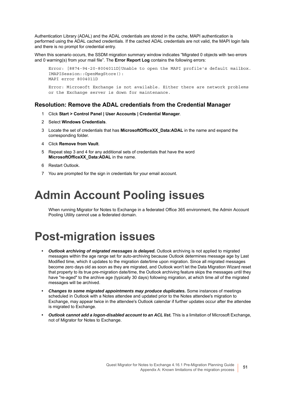Authentication Library (ADAL) and the ADAL credentials are stored in the cache, MAPI authentication is performed using the ADAL cached credentials. If the cached ADAL credentials are not valid, the MAPI login fails and there is no prompt for credential entry.

When this scenario occurs, the SSDM migration summary window indicates "Migrated 0 objects with two errors and 0 warning(s) from your mail file". The **Error Report Log** contains the following errors:

```
Error: [8874-94-20-8004011D]Unable to open the MAPI profile's default mailbox.
IMAPISession::OpenMsgStore():
MAPI error 8004011D
Error: Microsoft Exchange is not available. Either there are network problems 
or the Exchange server is down for maintenance.
```
#### **Resolution: Remove the ADAL credentials from the Credential Manager**

- 1 Click **Start > Control Panel | User Accounts | Credential Manager**.
- 2 Select **Windows Credentials**.
- 3 Locate the set of credentials that has **MicrosoftOfficeXX\_Data:ADAL** in the name and expand the corresponding folder.
- 4 Click **Remove from Vault**.
- 5 Repeat step 3 and 4 for any additional sets of credentials that have the word **MicrosoftOfficeXX\_Data:ADAL** in the name.
- 6 Restart Outlook.
- 7 You are prompted for the sign in credentials for your email account.

# <span id="page-50-0"></span>**Admin Account Pooling issues**

When running Migrator for Notes to Exchange in a federated Office 365 environment, the Admin Account Pooling Utility cannot use a federated domain.

# <span id="page-50-1"></span>**Post-migration issues**

- **•** *Outlook archiving of migrated messages is delayed.* Outlook archiving is not applied to migrated messages within the age range set for auto-archiving because Outlook determines message age by Last Modified time, which it updates to the migration date/time upon migration. Since all migrated messages become zero days old as soon as they are migrated, and Outlook won't let the Data Migration Wizard reset that property to its true pre-migration date/time, the Outlook archiving feature skips the messages until they have "re-aged" to the archive age (typically 30 days) following migration, at which time *all* of the migrated messages will be archived.
- <span id="page-50-3"></span>**•** *Changes to some migrated appointments may produce duplicates.* Some instances of meetings scheduled in Outlook with a Notes attendee and updated prior to the Notes attendee's migration to Exchange, may appear twice in the attendee's Outlook calendar if further updates occur after the attendee is migrated to Exchange.
- <span id="page-50-2"></span>**•** *Outlook cannot add a logon-disabled account to an ACL list.* This is a limitation of Microsoft Exchange, not of Migrator for Notes to Exchange.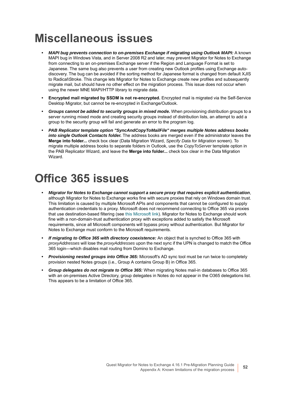# <span id="page-51-0"></span>**Miscellaneous issues**

- **•** *MAPI bug prevents connection to on-premises Exchange if migrating using Outlook MAPI:* A known MAPI bug in Windows Vista, and in Server 2008 R2 and later, may prevent Migrator for Notes to Exchange from connecting to an on-premises Exchange server if the Region and Language Format is set to Japanese. The same bug also prevents a user from creating new Outlook profiles using Exchange autodiscovery. The bug can be avoided if the sorting method for Japanese format is changed from default XJIS to Radical\Stroke. This change lets Migrator for Notes to Exchange create new profiles and subsequently migrate mail, but should have no other effect on the migration process. This issue does not occur when using the newer MNE MAPI/HTTP library to migrate data.
- <span id="page-51-3"></span>**• Encrypted mail migrated by SSDM is not re-encrypted.** Encrypted mail is migrated via the Self-Service Desktop Migrator, but cannot be re-encrypted in Exchange/Outlook.
- <span id="page-51-4"></span><span id="page-51-2"></span>**•** *Groups cannot be added to security groups in mixed mode.* When provisioning distribution groups to a server running mixed mode and creating security groups instead of distribution lists, an attempt to add a group to the security group will fail and generate an error to the program log.
- **•** *PAB Replicator template option "SyncAndCopyToMailFile" merges multiple Notes address books into single Outlook Contacts folder.* The address books are merged even if the administrator leaves the **Merge into folder...** check box clear (Data Migration Wizard, *Specify Data for Migration* screen). To migrate multiple address books to separate folders in Outlook, use the *CopyToServer* template option in the PAB Replicator Wizard, and leave the **Merge into folder...** check box clear in the Data Migration Wizard.

# <span id="page-51-1"></span>**Office 365 issues**

- **•** *Migrator for Notes to Exchange cannot support a secure proxy that requires explicit authentication*, although Migrator for Notes to Exchange works fine with secure proxies that rely on Windows domain trust. This limitation is caused by multiple Microsoft APIs and components that cannot be configured to supply authentication credentials to a proxy. Microsoft does not recommend connecting to Office 365 via proxies that use destination-based filtering (see [this Microsoft link\)](http://technet.microsoft.com/library/hh373144.aspx). Migrator for Notes to Exchange should work fine with a non-domain-trust authentication proxy with exceptions added to satisfy the Microsoft requirements, since all Microsoft components will bypass proxy without authentication. But Migrator for Notes to Exchange must conform to the Microsoft requirements.
- **•** *If migrating to Office 365 with directory coexistence:* An object that is synched to Office 365 with *proxyAddresses* will lose the *proxyAddresses* upon the next sync if the UPN is changed to match the Office 365 login—which disables mail routing from Domino to Exchange.
- **•** *Provisioning nested groups into Office 365:* Microsoft's AD sync tool must be run twice to completely provision nested Notes groups (i.e., Group A contains Group B) in Office 365.
- **•** *Group delegates do not migrate to Office 365:* When migrating Notes mail-in databases to Office 365 with an on-premises Active Directory, group delegates in Notes do not appear in the O365 delegations list. This appears to be a limitation of Office 365.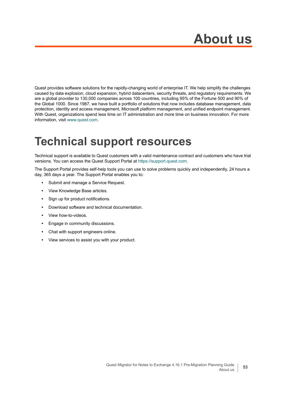# **About us**

<span id="page-52-0"></span>Quest provides software solutions for the rapidly-changing world of enterprise IT. We help simplify the challenges caused by data explosion, cloud expansion, hybrid datacenters, security threats, and regulatory requirements. We are a global provider to 130,000 companies across 100 countries, including 95% of the Fortune 500 and 90% of the Global 1000. Since 1987, we have built a portfolio of solutions that now includes database management, data protection, identity and access management, Microsoft platform management, and unified endpoint management. With Quest, organizations spend less time on IT administration and more time on business innovation. For more information, visit [www.quest.com](https://www.quest.com/company/contact-us.aspx).

# <span id="page-52-1"></span>**Technical support resources**

Technical support is available to Quest customers with a valid maintenance contract and customers who have trial versions. You can access the Quest Support Portal at [https://support.quest.com.](https://support.quest.com)

The Support Portal provides self-help tools you can use to solve problems quickly and independently, 24 hours a day, 365 days a year. The Support Portal enables you to:

- **•** Submit and manage a Service Request.
- **•** View Knowledge Base articles.
- **•** Sign up for product notifications.
- **•** Download software and technical documentation.
- **•** View how-to-videos.
- **•** Engage in community discussions.
- **•** Chat with support engineers online.
- **•** View services to assist you with your product.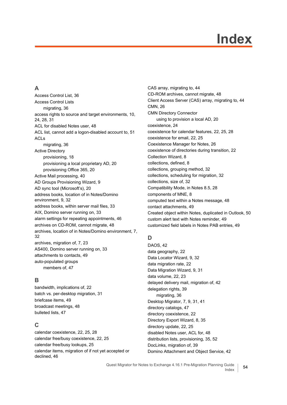# **Index**

### <span id="page-53-0"></span>**A**

[Access Control List, 36](#page-35-1) Access Control Lists [migrating, 36](#page-35-1) [access rights to source and target environments, 10,](#page-9-4)  [24,](#page-23-1) [28,](#page-27-0) [31](#page-30-4) [ACL for disabled Notes user, 48](#page-47-1) [ACL list, cannot add a logon-disabled account to, 51](#page-50-2) ACLs [migrating, 36](#page-35-1) Active Directory [provisioning, 18](#page-17-1) [provisioning a local proprietary AD, 20](#page-19-2) [provisioning Office 365, 20](#page-19-3) [Active Mail processing, 40](#page-39-2) [AD Groups Provisioning Wizard, 9](#page-8-1) [AD sync tool \(Microsoft's\), 20](#page-19-4) [address books, location of in Notes/Domino](#page-8-2)  [environment, 9,](#page-8-2) [32](#page-31-1) [address books, within server mail files, 33](#page-32-2) [AIX, Domino server running on, 33](#page-32-3) [alarm settings for repeating appointments, 46](#page-45-0) [archives on CD-ROM, cannot migrate, 48](#page-47-2) [archives, location of in Notes/Domino environment, 7,](#page-6-2)  [32](#page-31-2) [archives, migration of, 7,](#page-6-3) [23](#page-22-1) [AS400, Domino server running on, 33](#page-32-3) [attachments to contacts, 49](#page-48-0) auto-populated groups [members of, 47](#page-46-4)

### **B**

[bandwidth, implications of, 22](#page-21-1) [batch vs. per-desktop migration, 31](#page-30-5) [briefcase items, 49](#page-48-1) [broadcast meetings, 48](#page-47-3) [bulleted lists, 47](#page-46-5)

### **C**

[calendar coexistence, 22,](#page-21-2) [25,](#page-24-0) [28](#page-27-1) [calendar free/busy coexistence, 22,](#page-21-2) [25](#page-24-1) [calendar free/busy lookups, 25](#page-24-1) [calendar items, migration of if not yet accepted or](#page-45-1)  declined, 46

[CAS array, migrating to, 44](#page-43-3) [CD-ROM archives, cannot migrate, 48](#page-47-2) [Client Access Server \(CAS\) array, migrating to, 44](#page-43-3) [CMN, 26](#page-25-0) CMN Directory Connector [using to provision a local AD, 20](#page-19-5) [coexistence, 24](#page-23-2) [coexistence for calendar features, 22,](#page-21-2) [25,](#page-24-0) [28](#page-27-1) [coexistence for email, 22,](#page-21-3) [25](#page-24-2) [Coexistence Manager for Notes, 26](#page-25-0) [coexistence of directories during transition, 22](#page-21-4) [Collection Wizard, 8](#page-7-1) [collections, defined, 8](#page-7-2) [collections, grouping method, 32](#page-31-3) [collections, scheduling for migration, 32](#page-31-4) [collections, size of, 32](#page-31-5) [Compatibility Mode, in Notes 8.5, 28](#page-27-2) [components of MNE, 8](#page-7-3) [computed text within a Notes message, 48](#page-47-4) [contact attachments, 49](#page-48-0) [Created object within Notes, duplicated in Outlook, 50](#page-49-2) [custom alert text with Notes reminder, 49](#page-48-2) [customized field labels in Notes PAB entries, 49](#page-48-3)

### **D**

[DAOS, 42](#page-41-3) [data geography, 22](#page-21-5) [Data Locator Wizard, 9,](#page-8-3) [32](#page-31-6) [data migration rate, 22](#page-21-6) [Data Migration Wizard, 9,](#page-8-4) [31](#page-30-6) [data volume, 22,](#page-21-7) [23](#page-22-2) [delayed delivery mail, migration of, 42](#page-41-4) [delegation rights, 39](#page-38-2) [migrating, 36](#page-35-1) [Desktop Migrator, 7,](#page-6-4) [9,](#page-8-5) [31,](#page-30-6) [41](#page-40-0) [directory catalogs, 47](#page-46-6) [directory coexistence, 22](#page-21-4) [Directory Export Wizard, 8,](#page-7-4) [35](#page-34-1) [directory update, 22,](#page-21-4) [25](#page-24-3) [disabled Notes user, ACL for, 48](#page-47-1) [distribution lists, provisioning, 35,](#page-34-2) [52](#page-51-2) [DocLinks, migration of, 39](#page-38-3) [Domino Attachment and Object Service, 42](#page-41-5)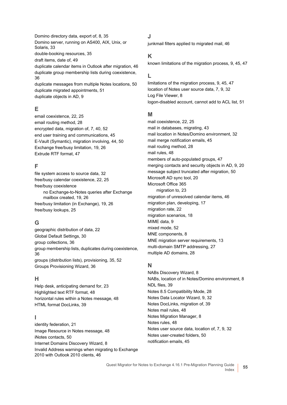[Domino directory data, export of, 8,](#page-7-4) [35](#page-34-1) [Domino server, running on AS400, AIX, Unix, or](#page-32-3)  Solaris, 33 [double-booking resources, 35](#page-34-3) [draft items, date of, 49](#page-48-4) [duplicate calendar items in Outlook after migration, 46](#page-45-1) [duplicate group membership lists during coexistence,](#page-35-2)  36 [duplicate messages from multiple Notes locations, 50](#page-49-3) [duplicate migrated appointments, 51](#page-50-3) [duplicate objects in AD, 9](#page-8-6)

### **E**

[email coexistence, 22,](#page-21-3) [25](#page-24-2) [email routing method, 28](#page-27-3) [encrypted data, migration of, 7,](#page-6-5) [40,](#page-39-3) [52](#page-51-3) [end user training and communications, 45](#page-44-2) [E-Vault \(Symantic\), migration involving, 44,](#page-43-4) [50](#page-49-4) [Exchange free/busy limitation, 19,](#page-18-1) [26](#page-25-1) [Extrude RTF format, 47](#page-46-7)

### **F**

[file system access to source data, 32](#page-31-7) [free/busy calendar coexistence, 22,](#page-21-2) [25](#page-24-1) free/busy coexistence [no Exchange-to-Notes queries after Exchange](#page-18-1)  [mailbox created, 19,](#page-18-1) [26](#page-25-1) [free/busy limitation \(in Exchange\), 19,](#page-18-1) [26](#page-25-1) [free/busy lookups, 25](#page-24-1)

### **G**

[geographic distribution of data, 22](#page-21-5) [Global Default Settings, 30](#page-29-0) [group collections, 36](#page-35-3) [group membership lists, duplicates during coexistence,](#page-35-2)  36 [groups \(distribution lists\), provisioning, 35,](#page-34-2) [52](#page-51-2) [Groups Provisioning Wizard, 36](#page-35-4)

### **H**

[Help desk, anticipating demand for, 23](#page-22-3) [Highlighted text RTF format, 48](#page-47-5) [horizontal rules within a Notes message, 48](#page-47-6) [HTML format DocLinks, 39](#page-38-4)

### **I**

[identity federation, 21](#page-20-1) [Image Resource in Notes message, 48](#page-47-7) [iNotes contacts, 50](#page-49-5) [Internet Domains Discovery Wizard, 8](#page-7-5) [Invalid Address warnings when migrating to Exchange](#page-45-2)  2010 with Outlook 2010 clients, 46

### **J**

[junkmail filters applied to migrated mail, 46](#page-45-3)

### **K**

[known limitations of the migration process, 9,](#page-8-7) [45,](#page-44-3) [47](#page-46-8)

#### **L**

[limitations of the migration process, 9,](#page-8-7) [45,](#page-44-3) [47](#page-46-8) [location of Notes user source data, 7,](#page-6-2) [9,](#page-8-2) [32](#page-31-2) [Log File Viewer, 8](#page-7-6) [logon-disabled account, cannot add to ACL list, 51](#page-50-2)

### **M**

[mail coexistence, 22,](#page-21-3) [25](#page-24-2) [mail in databases, migrating, 43](#page-42-2) [mail location in Notes/Domino environment, 32](#page-31-8) [mail merge notification emails, 45](#page-44-4) [mail routing method, 28](#page-27-3) [mail rules, 48](#page-47-8) [members of auto-populated groups, 47](#page-46-4) [merging contacts and security objects in AD, 9,](#page-8-8) [20](#page-19-6) [message subject truncated after migration, 50](#page-49-6) [Microsoft AD sync tool, 20](#page-19-4) Microsoft Office 365 [migration to, 23](#page-22-4) [migration of unresolved calendar items, 46](#page-45-1) [migration plan, developing, 17](#page-16-2) [migration rate, 22](#page-21-6) [migration scenarios, 18](#page-17-2) [MIME data, 9](#page-8-9) [mixed mode, 52](#page-51-4) [MNE components, 8](#page-7-3) [MNE migration server requirements, 13](#page-12-2) [multi-domain SMTP addressing, 27](#page-26-0) [multiple AD domains, 28](#page-27-4)

### **N**

[NABs Discovery Wizard, 8](#page-7-7) [NABs, location of in Notes/Domino environment, 8](#page-7-8) [NDL files, 39](#page-38-5) [Notes 8.5 Compatibility Mode, 28](#page-27-5) [Notes Data Locator Wizard, 9,](#page-8-3) [32](#page-31-6) [Notes DocLinks, migration of, 39](#page-38-3) [Notes mail rules, 48](#page-47-8) [Notes Migration Manager, 8](#page-7-9) [Notes rules, 48](#page-47-8) [Notes user source data, location of, 7,](#page-6-2) [9,](#page-8-2) [32](#page-31-2) [Notes user-created folders, 50](#page-49-7) [notification emails, 45](#page-44-5)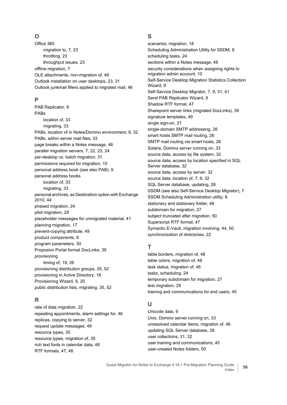### **O**

Office 365 [migration to, 7,](#page-6-6) [23](#page-22-4) [throttling, 23](#page-22-4) [throughput issues, 23](#page-22-4) [offline migration, 7](#page-6-7) [OLE attachments, non-migration of, 48](#page-47-9) [Outlook installation on user desktops, 23,](#page-22-5) [31](#page-30-7) [Outlook junkmail filters applied to migrated mail, 46](#page-45-3)

#### **P**

[PAB Replicator, 9](#page-8-10) PABs [location of, 33](#page-32-4) [migrating, 33](#page-32-4) [PABs, location of in Notes/Domino environment, 9,](#page-8-2) [32](#page-31-1) [PABs, within server mail files, 33](#page-32-2) [page breaks within a Notes message, 48](#page-47-10) [parallel migration servers, 7,](#page-6-8) [22,](#page-21-8) [23,](#page-22-6) [24](#page-23-3) [per-desktop vs. batch migration, 31](#page-30-5) [permissions required for migration, 10](#page-9-4) [personal address book \(see also PAB\), 9](#page-8-11) personal address books [location of, 33](#page-32-4) [migrating, 33](#page-32-4) [personal archives, as Destination option with Exchange](#page-43-5)  2010, 44 [phased migration, 24](#page-23-4) [pilot migration, 29](#page-28-2) [placeholder messages for unmigrated material, 41](#page-40-1) [planning migration, 17](#page-16-2) [prevent-copying attribute, 49](#page-48-5) [product components, 8](#page-7-3) [program parameters, 30](#page-29-0) [Proposion Portal format DocLinks, 39](#page-38-6) provisioning [timing of, 19,](#page-18-1) [26](#page-25-1) [provisioning distribution groups, 35,](#page-34-2) [52](#page-51-2) [provisioning in Active Directory, 18](#page-17-1) [Provisioning Wizard, 9,](#page-8-12) [20](#page-19-7) [public distribution lists, migrating, 35,](#page-34-2) [52](#page-51-2)

### **R**

[rate of data migration, 22](#page-21-6) [repeating appointments, alarm settings for, 46](#page-45-0) [replicas, copying to server, 32](#page-31-9) [request update messages, 49](#page-48-6) [resource types, 35](#page-34-4) [resource types, migration of, 35](#page-34-5) [rich text fonts in calendar data, 48](#page-47-11) [RTF formats, 47,](#page-46-9) [48](#page-47-12)

#### **S**

[scenarios, migration, 18](#page-17-2) [Scheduling Administration Utility for SSDM, 8](#page-7-10) [scheduling tasks, 24](#page-23-5) [sections within a Notes message, 48](#page-47-13) [security considerations when assigning rights to](#page-9-4)  migration admin account, 10 [Self-Service Desktop Migration Statistics Collection](#page-8-13)  Wizard, 9 [Self-Service Desktop Migrator, 7,](#page-6-4) [9,](#page-8-5) [31,](#page-30-6) [41](#page-40-0) [Send PAB Replicator Wizard, 9](#page-8-11) [Shadow RTF format, 47](#page-46-7) [Sharepoint server links \(migrated DocLinks\), 39](#page-38-6) [signature templates, 49](#page-48-7) [single sign-on, 21](#page-20-2) [single-domain SMTP addressing, 26](#page-25-2) [smart hosts SMTP mail routing, 26](#page-25-3) [SMTP mail routing via smart hosts, 26](#page-25-4) [Solaris, Domino server running on, 33](#page-32-3) [source data, access by file system, 32](#page-31-7) [source data, access by location specified in SQL](#page-31-10)  Server database, 32 [source data, access by server, 32](#page-31-11) [source data, location of, 7,](#page-6-2) [9,](#page-8-2) [32](#page-31-2) [SQL Server database, updating, 28](#page-27-6) [SSDM \(see also Self-Service Desktop Migrator\), 7](#page-6-4) [SSDM Scheduling Administration utility, 8](#page-7-10) [stationery and stationery folder, 48](#page-47-14) [subdomain for migration, 27](#page-26-1) [subject truncated after migration, 50](#page-49-6) [Superscript RTF format, 47](#page-46-7) [Symantic E-Vault, migration involving, 44,](#page-43-4) [50](#page-49-4) [synchronization of directories, 22](#page-21-4)

### **T**

[table borders, migration of, 48](#page-47-15) [table colors, migration of, 48](#page-47-15) [task status, migration of, 48](#page-47-16) [tasks, scheduling, 24](#page-23-5) [temporary subdomain for migration, 27](#page-26-1) [test migration, 29](#page-28-3) [training and communications for end users, 45](#page-44-2)

### **U**

[Unicode data, 9](#page-8-14) [Unix, Domino server running on, 33](#page-32-3) [unresolved calendar items, migration of, 46](#page-45-1) [updating SQL Server database, 28](#page-27-6) [user collections, 31,](#page-30-5) [32](#page-31-12) [user training and communications, 45](#page-44-2) [user-created Notes folders, 50](#page-49-7)